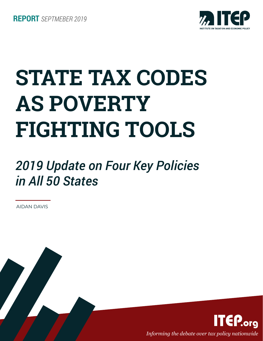

# **STATE TAX CODES AS POVERTY FIGHTING TOOLS**

## *2019 Update on Four Key Policies in All 50 States*

AIDAN DAVIS

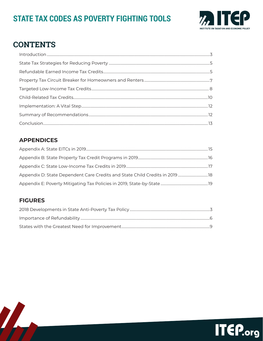## STATE TAX CODES AS POVERTY FIGHTING TOOLS



## **CONTENTS**

## **APPENDICES**

| Appendix D: State Dependent Care Credits and State Child Credits in 2019  18 |  |
|------------------------------------------------------------------------------|--|
|                                                                              |  |

## **FIGURES**

 $\sqrt{2}$ 

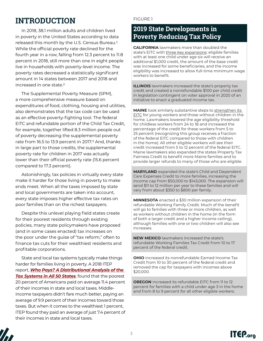## **INTRODUCTION**

In 2018, 38.1 million adults and children lived in poverty in the United States according to data released this month by the U.S. Census Bureau.<sup>1</sup> While the official poverty rate declined for the fourth year in a row, falling from 12.3 percent to 11.8 percent in 2018, still more than one in eight people live in households with poverty-level income. The poverty rates decreased a statistically significant amount in 14 states between 2017 and 2018 and increased in one state.2

The Supplemental Poverty Measure (SPM), a more comprehensive measure based on expenditures of food, clothing, housing and utilities, also demonstrates that the tax code can be used as an effective poverty-fighting tool. The federal EITC and refundable portion of the Child Tax Credit, for example, together lifted 8.3 million people out of poverty decreasing the supplemental poverty rate from 16.5 to 13.9 percent in 2017.<sup>3</sup> And, thanks in large part to those credits, the supplemental poverty rate for children in 2017 was actually lower than their official poverty rate (15.6 percent compared to 17.3 percent).

Astonishingly, tax policies in virtually every state make it harder for those living in poverty to make ends meet. When all the taxes imposed by state and local governments are taken into account, every state imposes higher effective tax rates on poor families than on the richest taxpayers.

Despite this unlevel playing field states create for their poorest residents through existing policies, many state policymakers have proposed (and in some cases enacted) tax increases on the poor under the guise of "tax reform," often to finance tax cuts for their wealthiest residents and profitable corporations.

State and local tax systems typically make things harder for families living in poverty. A 2018 ITEP report, *[Who Pays? A Distributional Analysis of the](http://www.whopays.org)  [Tax Systems in All 50 States](http://www.whopays.org)*, found that the poorest 20 percent of Americans paid on average 11.4 percent of their incomes in state and local taxes. Middleincome taxpayers didn't fare much better, paying an average of 9.9 percent of their incomes toward those taxes. But when it comes to the wealthiest 1 percent, ITEP found they paid an average of just 7.4 percent of their incomes in state and local taxes.

#### FIGURE 1

## **2019 State Developments in Poverty Reducing Tax Policy**

**CALIFORNIA** lawmakers more than doubled the state's EITC with three key expansions: eligible families with at least one child under age six will receive an additional \$1,000 credit, the amount of the base credit was increased for some beneficiaries, and the income eligibility was increased to allow full-time minimum wage workers to benefit.

**ILLINOIS** lawmakers increased the state's property tax credit and created a nonrefundable \$100 per child credit in legislation contingent on voter approval in 2020 of an initiative to enact a graduated income tax.

**MAINE** took similarly substantive steps to strengthen its EITC for young workers and those without children in the home. Lawmakers lowered the age eligibility threshold for childless workers from 24 to 18 and increased the percentage of the credit for these workers from 5 to 25 percent (recognizing this group receives a fraction of the federal EITC compared to those with children in the home). All other eligible workers will see their credit increased from 5 to 12 percent of the federal EITC. Maine lawmakers also expanded the states Property Tax Fairness Credit to benefit more Maine families and to provide larger refunds to many of those who are eligible.

**MARYLAND** expanded the state's Child and Dependent Care Expenses Credit to more families, increasing the income cap from \$50,000 to \$143,000. The expansion will send \$11 to 12 million per year to these families and will vary from about \$350 to \$800 per family.

**MINNESOTA** enacted a \$30 million expansion of their refundable Working Family Credit. Much of the benefit will go to families with three or more children, as well as workers without children in the home (in the form of both a larger credit and a higher income ceiling), although families with one or two children will also see increases.

**NEW MEXICO** lawmakers increased the state's refundable Working Families Tax Credit from 10 to 17 percent of the federal credit.

**OHIO** increased its nonrefundable Earned Income Tax Credit from 10 to 30 percent of the federal credit and removed the cap for taxpayers with incomes above \$20,000.

**OREGON** increased its refundable EITC from 11 to 12 percent for families with a child under age 3 in the home and from 8 to 9 percent for all other eligible workers.

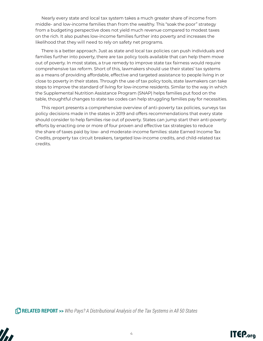Nearly every state and local tax system takes a much greater share of income from middle- and low-income families than from the wealthy. This "soak the poor" strategy from a budgeting perspective does not yield much revenue compared to modest taxes on the rich. It also pushes low-income families further into poverty and increases the likelihood that they will need to rely on safety net programs.

There is a better approach. Just as state and local tax policies can push individuals and families further into poverty, there are tax policy tools available that can help them move out of poverty. In most states, a true remedy to improve state tax fairness would require comprehensive tax reform. Short of this, lawmakers should use their states' tax systems as a means of providing affordable, effective and targeted assistance to people living in or close to poverty in their states. Through the use of tax policy tools, state lawmakers can take steps to improve the standard of living for low-income residents. Similar to the way in which the Supplemental Nutrition Assistance Program (SNAP) helps families put food on the table, thoughtful changes to state tax codes can help struggling families pay for necessities.

This report presents a comprehensive overview of anti-poverty tax policies, surveys tax policy decisions made in the states in 2019 and offers recommendations that every state should consider to help families rise out of poverty. States can jump start their anti-poverty efforts by enacting one or more of four proven and effective tax strategies to reduce the share of taxes paid by low- and moderate-income families: state Earned Income Tax Credits, property tax circuit breakers, targeted low-income credits, and child-related tax credits.

**RELATED REPORT >>** *[Who Pays? A Distributional Analysis of the Tax Systems in All 50 States](http://www.itep.org/whopays/)*



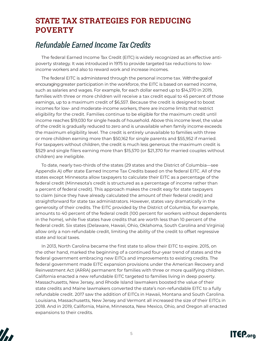## **STATE TAX STRATEGIES FOR REDUCING POVERTY**

## *Refundable Earned Income Tax Credits*

The federal Earned Income Tax Credit (EITC) is widely recognized as an effective antipoverty strategy. It was introduced in 1975 to provide targeted tax reductions to lowincome workers and also to reward work and increase incomes.

The federal EITC is administered through the personal income tax. With the goal of encouraging greater participation in the workforce, the EITC is based on earned income, such as salaries and wages. For example, for each dollar earned up to \$14,570 in 2019, families with three or more children will receive a tax credit equal to 45 percent of those earnings, up to a maximum credit of \$6,557. Because the credit is designed to boost incomes for low- and moderate-income workers, there are income limits that restrict eligibility for the credit. Families continue to be eligible for the maximum credit until income reaches \$19,030 for single heads of household. Above this income level, the value of the credit is gradually reduced to zero and is unavailable when family income exceeds the maximum eligibility level. The credit is entirely unavailable to families with three or more children earning more than \$50,162 for single parents and \$55,952 if married. For taxpayers without children, the credit is much less generous: the maximum credit is \$529 and single filers earning more than \$15,570 (or \$21,370 for married couples without children) are ineligible.

To date, nearly two-thirds of the states (29 states and the District of Columbia—see Appendix A) offer state Earned Income Tax Credits based on the federal EITC. All of the states except Minnesota allow taxpayers to calculate their EITC as a percentage of the federal credit (Minnesota's credit is structured as a percentage of income rather than a percent of federal credit). This approach makes the credit easy for state taxpayers to claim (since they have already calculated the amount of their federal credit) and straightforward for state tax administrators. However, states vary dramatically in the generosity of their credits. The EITC provided by the District of Columbia, for example, amounts to 40 percent of the federal credit (100 percent for workers without dependents in the home), while five states have credits that are worth less than 10 percent of the federal credit. Six states (Delaware, Hawaii, Ohio, Oklahoma, South Carolina and Virginia) allow only a non-refundable credit, limiting the ability of the credit to offset regressive state and local taxes.

In 2013, North Carolina became the first state to allow their EITC to expire. 2015, on the other hand, marked the beginning of a continued four-year trend of states and the federal government embracing new EITCs and improvements to existing credits. The federal government made EITC expansion provisions under the American Recovery and Reinvestment Act (ARRA) permanent for families with three or more qualifying children. California enacted a new refundable EITC targeted to families living in deep poverty. Massachusetts, New Jersey, and Rhode Island lawmakers boosted the value of their state credits and Maine lawmakers converted the state's non-refundable EITC to a fully refundable credit. 2017 saw the addition of EITCs in Hawaii, Montana and South Carolina. Louisiana, Massachusetts, New Jersey and Vermont all increased the size of their EITCs in 2018. And in 2019, California, Maine, Minnesota, New Mexico, Ohio, and Oregon all enacted expansions to their credits.



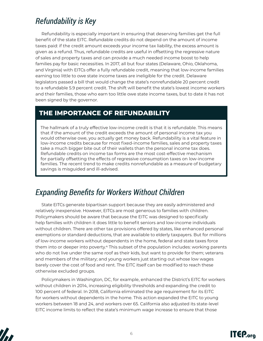## *Refundability is Key*

Refundability is especially important in ensuring that deserving families get the full benefit of the state EITC. Refundable credits do not depend on the amount of income taxes paid: if the credit amount exceeds your income tax liability, the excess amount is given as a refund. Thus, refundable credits are useful in offsetting the regressive nature of sales and property taxes and can provide a much needed income boost to help families pay for basic necessities. In 2017, all but four states (Delaware, Ohio, Oklahoma, and Virginia) with EITCs offer a fully refundable credit, meaning that low-income families earning too little to owe state income taxes are ineligible for the credit. Delaware legislators passed a bill that would change the state's nonrefundable 20 percent credit to a refundable 5.9 percent credit. The shift will benefit the state's lowest income workers and their families, those who earn too little owe state income taxes, but to date it has not been signed by the governor.

## **THE IMPORTANCE OF REFUNDABILITY**

The hallmark of a truly effective low-income credit is that it is refundable. This means that if the amount of the credit exceeds the amount of personal income tax you would otherwise owe, you actually get money back. Refundability is a vital feature in low-income credits because for most fixed-income families, sales and property taxes take a much bigger bite out of their wallets than the personal income tax does. Refundable credits on income tax forms are the most cost-effective mechanism for partially offsetting the effects of regressive consumption taxes on low-income families. The recent trend to make credits nonrefundable as a measure of budgetary savings is misguided and ill-advised.

## *Expanding Benefits for Workers Without Children*

State EITCs generate bipartisan support because they are easily administered and relatively inexpensive. However, EITCs are most generous to families with children. Policymakers should be aware that because the EITC was designed to specifically help families with children it does little to benefit seniors and low-income individuals without children. There are other tax provisions offered by states, like enhanced personal exemptions or standard deductions, that are available to elderly taxpayers. But for millions of low-income workers without dependents in the home, federal and state taxes force them into or deeper into poverty.4 This subset of the population includes: working parents who do not live under the same roof as their kids, but want to provide for them; veterans and members of the military; and young workers just starting out whose low wages barely cover the cost of food and rent. The EITC itself can be modified to reach these otherwise excluded groups.

Policymakers in Washington, DC, for example, enhanced the District's EITC for workers without children in 2014, increasing eligibility thresholds and expanding the credit to 100 percent of federal. In 2018, California eliminated the age requirement for its EITC for workers without dependents in the home. This action expanded the EITC to young workers between 18 and 24, and workers over 65. California also adjusted its state-level EITC income limits to reflect the state's minimum wage increase to ensure that those



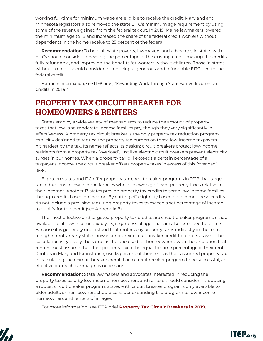working full-time for minimum wage are eligible to receive the credit. Maryland and Minnesota legislators also removed the state EITC's minimum age requirement by using some of the revenue gained from the federal tax cut. In 2019, Maine lawmakers lowered the minimum age to 18 and increased the share of the federal credit workers without dependents in the home receive to 25 percent of the federal.

**Recommendation:** To help alleviate poverty, lawmakers and advocates in states with EITCs should consider increasing the percentage of the existing credit, making the credits fully refundable, and improving the benefits for workers without children. Those in states without a credit should consider introducing a generous and refundable EITC tied to the federal credit.

For more information, see ITEP brief, ["Rewarding Work Through State Earned Income Tax](https://itep.org/rewarding-work-through-state-earned-income-tax-credits-in-2018)  [Credits in 2019."](https://itep.org/rewarding-work-through-state-earned-income-tax-credits-in-2018)

## **PROPERTY TAX CIRCUIT BREAKER FOR HOMEOWNERS & RENTERS**

States employ a wide variety of mechanisms to reduce the amount of property taxes that low- and moderate-income families pay, though they vary significantly in effectiveness. A property tax circuit breaker is the only property tax reduction program explicitly designed to reduce the property tax burden on those low-income taxpayers hit hardest by the tax. Its name reflects its design: circuit breakers protect low-income residents from a property tax "overload", just like electric circuit breakers prevent electricity surges in our homes. When a property tax bill exceeds a certain percentage of a taxpayer's income, the circuit breaker offsets property taxes in excess of this "overload" level.

Eighteen states and DC offer property tax circuit breaker programs in 2019 that target tax reductions to low-income families who also owe significant property taxes relative to their incomes. Another 13 states provide property tax credits to some low-income families through credits based on income. By cutting off eligibility based on income, these credits do not include a provision requiring property taxes to exceed a set percentage of income to qualify for the credit (see Appendix B).

The most effective and targeted property tax credits are circuit breaker programs made available to all low-income taxpayers, regardless of age, that are also extended to renters. Because it is generally understood that renters pay property taxes indirectly in the form of higher rents, many states now extend their circuit breaker credit to renters as well. The calculation is typically the same as the one used for homeowners, with the exception that renters must assume that their property tax bill is equal to some percentage of their rent. Renters in Maryland for instance, use 15 percent of their rent as their assumed property tax in calculating their circuit breaker credit. For a circuit breaker program to be successful, an effective outreach campaign is necessary.

**Recommendation:** State lawmakers and advocates interested in reducing the property taxes paid by low-income homeowners and renters should consider introducing a robust circuit breaker program. States with circuit breaker programs only available to older adults or homeowners should consider expanding the program to low-income homeowners and renters of all ages.

For more information, see ITEP brief **[Property Tax Circuit Breakers in 2019.](https://itep.org/property-tax-circuit-breakers-in-2019/)**



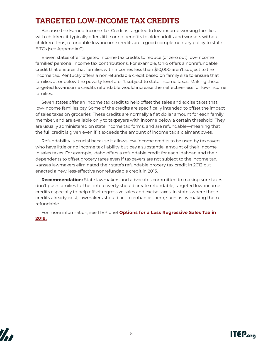## **TARGETED LOW-INCOME TAX CREDITS**

Because the Earned Income Tax Credit is targeted to low-income working families with children, it typically offers little or no benefits to older adults and workers without children. Thus, refundable low-income credits are a good complementary policy to state EITCs (see Appendix C).

Eleven states offer targeted income tax credits to reduce (or zero out) low-income families' personal income tax contributions. For example, Ohio offers a nonrefundable credit that ensures that families with incomes less than \$10,000 aren't subject to the income tax. Kentucky offers a nonrefundable credit based on family size to ensure that families at or below the poverty level aren't subject to state income taxes. Making these targeted low-income credits refundable would increase their effectiveness for low-income families.

Seven states offer an income tax credit to help offset the sales and excise taxes that low-income families pay. Some of the credits are specifically intended to offset the impact of sales taxes on groceries. These credits are normally a flat dollar amount for each family member, and are available only to taxpayers with income below a certain threshold. They are usually administered on state income tax forms, and are refundable—meaning that the full credit is given even if it exceeds the amount of income tax a claimant owes.

Refundability is crucial because it allows low-income credits to be used by taxpayers who have little or no income tax liability but pay a substantial amount of their income in sales taxes. For example, Idaho offers a refundable credit for each Idahoan and their dependents to offset grocery taxes even if taxpayers are not subject to the income tax. Kansas lawmakers eliminated their state's refundable grocery tax credit in 2012 but enacted a new, less-effective nonrefundable credit in 2013.

**Recommendation:** State lawmakers and advocates committed to making sure taxes don't push families further into poverty should create refundable, targeted low-income credits especially to help offset regressive sales and excise taxes. In states where these credits already exist, lawmakers should act to enhance them, such as by making them refundable.

For more information, see ITEP brief **[Options for a Less Regressive Sales Tax in](https://itep.org/options-for-a-less-regressive-sales-tax-in-2019/)  [2019.](https://itep.org/options-for-a-less-regressive-sales-tax-in-2019/)**



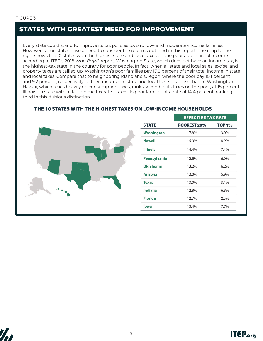## **STATES WITH GREATEST NEED FOR IMPROVEMENT**

Every state could stand to improve its tax policies toward low- and moderate-income families. However, some states have a need to consider the reforms outlined in this report. The map to the right shows the 10 states with the highest state and local taxes on the poor as a share of income according to ITEP's 2018 *Who Pays?* report. Washington State, which does not have an income tax, is the highest-tax state in the country for poor people. In fact, when all state and local sales, excise, and property taxes are tallied up, Washington's poor families pay 17.8 percent of their total income in state and local taxes. Compare that to neighboring Idaho and Oregon, where the poor pay 10.1 percent and 9.2 percent, respectively, of their incomes in state and local taxes—far less than in Washington. Hawaii, which relies heavily on consumption taxes, ranks second in its taxes on the poor, at 15 percent. Illinois—a state with a flat income tax rate—taxes its poor families at a rate of 14.4 percent, ranking third in this dubious distinction.



#### THE 10 STATES WITH THE HIGHEST TAXES ON LOW-INCOME HOUSEHOLDS



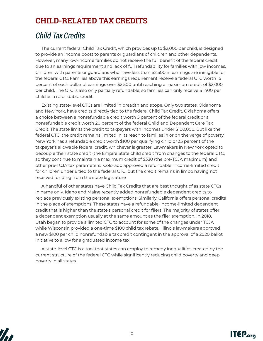## **CHILD-RELATED TAX CREDITS**

## *Child Tax Credits*

The current federal Child Tax Credit, which provides up to \$2,000 per child, is designed to provide an income boost to parents or guardians of children and other dependents. However, many low-income families do not receive the full benefit of the federal credit due to an earnings requirement and lack of full refundability for families with low incomes. Children with parents or guardians who have less than \$2,500 in earnings are ineligible for the federal CTC. Families above this earnings requirement receive a federal CTC worth 15 percent of each dollar of earnings over \$2,500 until reaching a maximum credit of \$2,000 per child. The CTC is also only partially refundable, so families can only receive \$1,400 per child as a refundable credit.

Existing state-level CTCs are limited in breadth and scope. Only two states, Oklahoma and New York, have credits directly tied to the federal Child Tax Credit. Oklahoma offers a choice between a nonrefundable credit worth 5 percent of the federal credit or a nonrefundable credit worth 20 percent of the federal Child and Dependent Care Tax Credit. The state limits the credit to taxpayers with incomes under \$100,000. But like the federal CTC, the credit remains limited in its reach to families in or on the verge of poverty. New York has a refundable credit worth \$100 per qualifying child or 33 percent of the taxpayer's allowable federal credit, whichever is greater. Lawmakers in New York opted to decouple their state credit (the Empire State child credit from changes to the federal CTC, so they continue to maintain a maximum credit of \$330 (the pre-TCJA maximum) and other pre-TCJA tax parameters. Colorado approved a refundable, income-limited credit for children under 6 tied to the federal CTC, but the credit remains in limbo having not received funding from the state legislature

A handful of other states have Child Tax Credits that are best thought of as state CTCs in name only. Idaho and Maine recently added nonrefundable dependent credits to replace previously existing personal exemptions. Similarly, California offers personal credits in the place of exemptions. These states have a refundable, income-limited dependent credit that is higher than the state's personal credit for filers. The majority of states offer a dependent exemption usually at the same amount as the filer exemption. In 2018, Utah began to provide a limited CTC to account for some of the changes under TCJA while Wisconsin provided a one-time \$100 child tax rebate. Illinois lawmakers approved a new \$100 per child nonrefundable tax credit contingent in the approval of a 2020 ballot initiative to allow for a graduated income tax.

A state-level CTC is a tool that states can employ to remedy inequalities created by the current structure of the federal CTC while significantly reducing child poverty and deep poverty in all states.



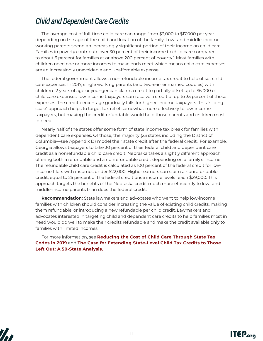## *Child and Dependent Care Credits*

The average cost of full-time child care can range from \$3,000 to \$17,000 per year depending on the age of the child and location of the family. Low- and middle-income working parents spend an increasingly significant portion of their income on child care. Families in poverty contribute over 30 percent of their income to child care compared to about 6 percent for families at or above 200 percent of poverty.<sup>1</sup> Most families with children need one or more incomes to make ends meet which means child care expenses are an increasingly unavoidable and unaffordable expense.

The federal government allows a nonrefundable income tax credit to help offset child care expenses. In 2017, single working parents (and two-earner married couples) with children 12 years of age or younger can claim a credit to partially offset up to \$6,000 of child care expenses; low-income taxpayers can receive a credit of up to 35 percent of these expenses. The credit percentage gradually falls for higher-income taxpayers. This "sliding scale" approach helps to target tax relief somewhat more effectively to low-income taxpayers, but making the credit refundable would help those parents and children most in need.

Nearly half of the states offer some form of state income tax break for families with dependent care expenses. Of those, the majority (23 states including the District of Columbia—see Appendix D) model their state credit after the federal credit.. For example, Georgia allows taxpayers to take 30 percent of their federal child and dependent care credit as a nonrefundable child care credit. Nebraska takes a slightly different approach, offering both a refundable and a nonrefundable credit depending on a family's income. The refundable child care credit is calculated as 100 percent of the federal credit for lowincome filers with incomes under \$22,000. Higher earners can claim a nonrefundable credit, equal to 25 percent of the federal credit once income levels reach \$29,000. This approach targets the benefits of the Nebraska credit much more efficiently to low- and middle-income parents than does the federal credit.

**Recommendation:** State lawmakers and advocates who want to help low-income families with children should consider increasing the value of existing child credits, making them refundable, or introducing a new refundable per child credit. Lawmakers and advocates interested in targeting child and dependent care credits to help families most in need would do well to make their credits refundable and make the credit available only to families with limited incomes.

For more information, see **[Reducing the Cost of Child Care Through State Tax](https://itep.org/reducing-the-cost-of-child-care-through-state-tax-codes-2019/)  [Codes in 2019](https://itep.org/reducing-the-cost-of-child-care-through-state-tax-codes-2019/)** and **[The Case for Extending State-Level Child Tax Credits to Those](https://itep.org/the-case-for-extending-state-level-child-tax-credits-to-those-left-out-a-50-state-analysis/)  [Left Out: A 50-State Analysis](https://itep.org/the-case-for-extending-state-level-child-tax-credits-to-those-left-out-a-50-state-analysis/).**



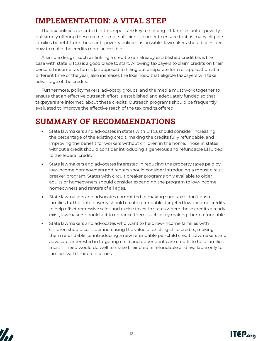## **IMPLEMENTATION: A VITAL STEP**

The tax policies described in this report are key to helping lift families out of poverty, but simply offering these credits is not sufficient. In order to ensure that as many eligible families benefit from these anti-poverty policies as possible, lawmakers should consider how to make the credits more accessible.

A simple design, such as linking a credit to an already established credit (as is the case with state EITCs) is a good place to start. Allowing taxpayers to claim credits on their personal income tax forms (as opposed to filling out a separate form or application at a different time of the year) also increases the likelihood that eligible taxpayers will take advantage of the credits.

Furthermore, policymakers, advocacy groups, and the media must work together to ensure that an effective outreach effort is established and adequately funded so that taxpayers are informed about these credits. Outreach programs should be frequently evaluated to improve the effective reach of the tax credits offered.

## **SUMMARY OF RECOMMENDATIONS**

- State lawmakers and advocates in states with EITCs should consider increasing the percentage of the existing credit, making the credits fully refundable, and improving the benefit for workers without children in the home. Those in states without a credit should consider introducing a generous and refundable EITC tied to the federal credit.
- State lawmakers and advocates interested in reducing the property taxes paid by low-income homeowners and renters should consider introducing a robust circuit breaker program. States with circuit breaker programs only available to older adults or homeowners should consider expanding the program to low-income homeowners and renters of all ages.
- State lawmakers and advocates committed to making sure taxes don't push families further into poverty should create refundable, targeted low-income credits to help offset regressive sales and excise taxes. In states where these credits already exist, lawmakers should act to enhance them, such as by making them refundable.
- State lawmakers and advocates who want to help low-income families with children should consider increasing the value of existing child credits, making them refundable, or introducing a new refundable per-child credit. Lawmakers and advocates interested in targeting child and dependent care credits to help families most in need would do well to make their credits refundable and available only to families with limited incomes.



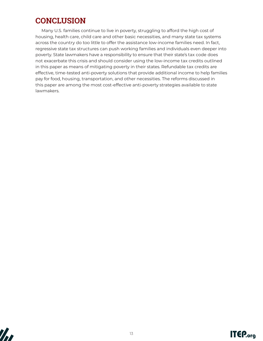## **CONCLUSION**

Many U.S. families continue to live in poverty, struggling to afford the high cost of housing, health care, child care and other basic necessities, and many state tax systems across the country do too little to offer the assistance low-income families need. In fact, regressive state tax structures can push working families and individuals even deeper into poverty. State lawmakers have a responsibility to ensure that their state's tax code does not exacerbate this crisis and should consider using the low-income tax credits outlined in this paper as means of mitigating poverty in their states. Refundable tax credits are effective, time-tested anti-poverty solutions that provide additional income to help families pay for food, housing, transportation, and other necessities. The reforms discussed in this paper are among the most cost-effective anti-poverty strategies available to state lawmakers.



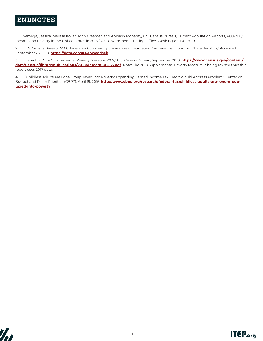## **ENDNOTES**

1 Semega, Jessica, Melissa Kollar, John Creamer, and Abinash Mohanty, U.S. Census Bureau, Current Population Reports, P60-266," Income and Poverty in the United States in 2018," U.S. Government Printing Office, Washington, DC, 2019.

2 U.S. Census Bureau. "2018 American Community Survey 1-Year Estimates: Comparative Economic Characteristics," Accessed: September 26, 2019. **https://data.census.gov/cedsci/**

3 Liana Fox. "The Supplemental Poverty Measure: 2017," U.S. Census Bureau, September 2018. **https://www.census.gov/content/ dam/Census/library/publications/2018/demo/p60-265.pdf** Note: The 2018 Supplemental Poverty Measure is being revised thus this report uses 2017 data.

4 "Childless Adults Are Lone Group Taxed Into Poverty: Expanding Earned Income Tax Credit Would Address Problem." Center on Budget and Policy Priorities (CBPP). April 19, 2016. **http://www.cbpp.org/research/federal-tax/childless-adults-are-lone-grouptaxed-into-poverty**



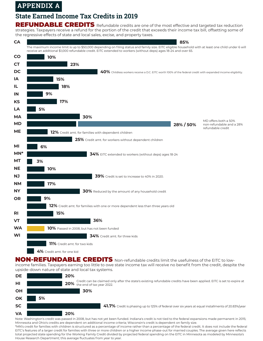## **APPENDIX A**

## **State Earned Income Tax Credits in 2019**

REFUNDABLE CREDITS Refundable credits are one of the most effective and targeted tax reduction strategies. Taxpayers receive a refund for the portion of the credit that exceeds their income tax bill, offsetting some of the regressive effects of state and local sales, excise, and property taxes.



NON-REFUNDABLE CREDITS Non-refundable credits limit the usefulness of the EITC to lowincome families. Taxpayers earning too little to owe state income tax will receive no benefit from the credit, despite the



Note: Washington's credit was passed in 2008, but has not yet been funded. Indiana's credit is not tied to the federal expansions made permanent in 2015; Minnesota and Ohio's credits are dependent on additional income criteria; Wisconsin's credit is dependent on family size.

\*MN's credit for families with children is structured as a percentage of income rather than a percentage of the federal credit. It does not include the federal EITC's features of a larger credit for families with three or more children or a higher income phase-out for married couples. The average given here reflects total projected state spending for the Working Family Credit divided by projected federal spending on the EITC in Minnesota as modeled by Minnesota's House Research Department; this average fluctuates from year to year.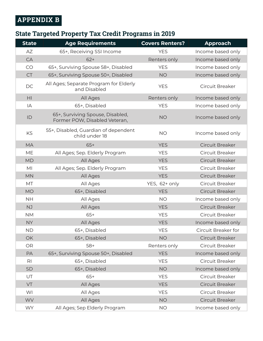## **APPENDIX B**

## **State Targeted Property Tax Credit Programs in 2019**

| <b>State</b>   | <b>Age Requirements</b>                                           | <b>Covers Renters?</b> | <b>Approach</b>     |
|----------------|-------------------------------------------------------------------|------------------------|---------------------|
| AZ             | 65+, Receiving SSI Income                                         | <b>YES</b>             | Income based only   |
| CA             | $62+$                                                             | Renters only           | Income based only   |
| CO             | 65+, Surviving Spouse 58+, Disabled                               | <b>YES</b>             | Income based only   |
| <b>CT</b>      | 65+, Surviving Spouse 50+, Disabled                               | <b>NO</b>              | Income based only   |
| DC             | All Ages; Separate Program for Elderly<br>and Disabled            | <b>YES</b>             | Circuit Breaker     |
| H <sub>l</sub> | All Ages                                                          | Renters only           | Income based only   |
| IA             | 65+, Disabled                                                     | <b>YES</b>             | Income based only   |
| ID             | 65+, Surviving Spouse, Disabled,<br>Former POW, Disabled Veteran, | <b>NO</b>              | Income based only   |
| KS             | 55+, Disabled, Guardian of dependent<br>child under 18            | <b>NO</b>              | Income based only   |
| <b>MA</b>      | $65+$                                                             | <b>YES</b>             | Circuit Breaker     |
| <b>ME</b>      | All Ages; Sep. Elderly Program                                    | <b>YES</b>             | Circuit Breaker     |
| <b>MD</b>      | All Ages                                                          | <b>YES</b>             | Circuit Breaker     |
| MI             | All Ages; Sep. Elderly Program                                    | <b>YES</b>             | Circuit Breaker     |
| <b>MN</b>      | All Ages                                                          | <b>YES</b>             | Circuit Breaker     |
| MT             | All Ages                                                          | YES, 62+ only          | Circuit Breaker     |
| <b>MO</b>      | 65+, Disabled                                                     | <b>YES</b>             | Circuit Breaker     |
| <b>NH</b>      | All Ages                                                          | <b>NO</b>              | Income based only   |
| <b>NJ</b>      | All Ages                                                          | <b>YES</b>             | Circuit Breaker     |
| <b>NM</b>      | $65+$                                                             | <b>YES</b>             | Circuit Breaker     |
| <b>NY</b>      | All Ages                                                          | <b>YES</b>             | Income based only   |
| <b>ND</b>      | 65+, Disabled                                                     | <b>YES</b>             | Circuit Breaker for |
| <b>OK</b>      | 65+, Disabled                                                     | <b>NO</b>              | Circuit Breaker     |
| <b>OR</b>      | $58+$                                                             | Renters only           | Circuit Breaker     |
| PA             | 65+, Surviving Spouse 50+, Disabled                               | <b>YES</b>             | Income based only   |
| R <sub>l</sub> | 65+, Disabled                                                     | <b>YES</b>             | Circuit Breaker     |
| SD             | 65+, Disabled                                                     | <b>NO</b>              | Income based only   |
| UT             | $65+$                                                             | <b>YES</b>             | Circuit Breaker     |
| VT             | All Ages                                                          | <b>YES</b>             | Circuit Breaker     |
| WI             | All Ages                                                          | <b>YES</b>             | Circuit Breaker     |
| <b>WV</b>      | All Ages                                                          | <b>NO</b>              | Circuit Breaker     |
| <b>WY</b>      | All Ages; Sep Elderly Program                                     | <b>NO</b>              | Income based only   |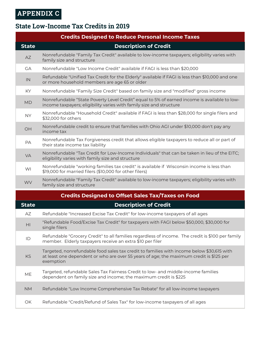## **State Low-Income Tax Credits in 2019**

|              | <b>Credits Designed to Reduce Personal Income Taxes</b>                                                                                                             |
|--------------|---------------------------------------------------------------------------------------------------------------------------------------------------------------------|
| <b>State</b> | <b>Description of Credit</b>                                                                                                                                        |
| <b>AZ</b>    | Nonrefundable "Family Tax Credit" available to low-income taxpayers; eligibility varies with<br>family size and structure                                           |
| <b>GA</b>    | Nonrefundable "Low Income Credit" available if FAGI is less than \$20,000                                                                                           |
| IN           | Refundable "Unified Tax Credit for the Elderly" available if FAGI is less than \$10,000 and one<br>or more household members are age 65 or older                    |
| KY           | Nonrefundable "Family Size Credit" based on family size and "modified" gross income                                                                                 |
| <b>MD</b>    | Nonrefundable "State Poverty Level Credit" equal to 5% of earned income is available to low-<br>income taxpayers; eligibility varies with family size and structure |
| <b>NY</b>    | Nonrefundable "Household Credit" available if FAGI is less than \$28,000 for single filers and<br>\$32,000 for others                                               |
| OH           | Nonrefundable credit to ensure that families with Ohio AGI under \$10,000 don't pay any<br>income tax                                                               |
| PA           | Nonrefundable Tax Forgiveness credit that allows eligible taxpayers to reduce all or part of<br>their state income tax liability                                    |
| <b>VA</b>    | Nonrefundable "Tax Credit for Low-Income Individuals" that can be taken in lieu of the EITC;<br>eligibility varies with family size and structure                   |
| WI           | Nonrefundable "working families tax credit" is available if Wisconsin income is less than<br>\$19,000 for married filers (\$10,000 for other filers)                |
| <b>WV</b>    | Nonrefundable "Family Tax Credit" available to low-income taxpayers; eligibility varies with<br>family size and structure                                           |
|              | <b>Credits Designed to Offset Sales Tax/Taxes on Food</b>                                                                                                           |
| <b>State</b> | <b>Description of Credit</b>                                                                                                                                        |
| AZ           | Refundable "Increased Excise Tax Credit" for low-income taxpayers of all ages                                                                                       |
| H1           | "Refundable Food/Excise Tax Credit" for taxpayers with FAGI below \$50,000, \$30,000 for<br>single filers                                                           |

ID Refundable "Grocery Credit" to all families regardless of income. The credit is \$100 per family member. Elderly taxpayers receive an extra \$10 per filer

KS Targeted, nonrefundable food sales tax credit to families with income below \$30,615 with at least one dependent or who are over 55 years of age; the maximum credit is \$125 per exemption

- ME Targeted, refundable Sales Tax Fairness Credit to low- and middle-income families dependent on family size and income; the maximum credit is \$225
- NM Refundable "Low Income Comprehensive Tax Rebate" for all low-income taxpayers
- OK Refundable "Credit/Refund of Sales Tax" for low-income taxpayers of all ages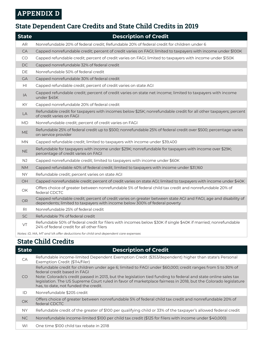## **APPENDIX D**

## **State Dependent Care Credits and State Child Credits in 2019**

| <b>State</b>   | <b>Description of Credit</b>                                                                                                                                                                  |
|----------------|-----------------------------------------------------------------------------------------------------------------------------------------------------------------------------------------------|
| <b>AR</b>      | Nonrefundable 20% of federal credit; Refundable 20% of federal credit for children under 6                                                                                                    |
| CA             | Capped nonrefundable credit; percent of credit varies on FAGI; limited to taxpayers with income under \$100K                                                                                  |
| CO             | Capped refundable credit; percent of credit varies on FAGI; limited to taxpayers with income under \$150K                                                                                     |
| DC.            | Capped nonrefundable 32% of federal credit                                                                                                                                                    |
| DE             | Nonrefundable 50% of federal credit                                                                                                                                                           |
| <b>GA</b>      | Capped nonrefundable 30% of federal credit                                                                                                                                                    |
| HI             | Capped refundable credit; percent of credit varies on state AGI                                                                                                                               |
| IA             | Capped refundable credit; percent of credit varies on state net income; limited to taxpayers with income<br>under \$45K                                                                       |
| KY.            | Capped nonrefundable 20% of federal credit                                                                                                                                                    |
| LA             | Refundable credit for taxpayers with incomes below \$25K; nonrefundable credit for all other taxpayers; percent<br>of credit varies on FAGI                                                   |
| <b>MD</b>      | Nonrefundable credit; percent of credit varies on FAGI                                                                                                                                        |
| ME             | Refundable 25% of federal credit up to \$500; nonrefundable 25% of federal credit over \$500; percentage varies<br>on service provider                                                        |
| <b>MN</b>      | Capped refundable credit; limited to taxpayers with income under \$39,400                                                                                                                     |
| <b>NE</b>      | Refundable for taxpayers with income under \$29K; nonrefundable for taxpayers with income over \$29K;<br>percentage of credit varies on FAGI                                                  |
| NJ             | Capped nonrefundable credit; limited to taxpayers with income under \$60K                                                                                                                     |
| <b>NM</b>      | Capped refundable 40% of federal credit; limited to taxpayers with income under \$31,160                                                                                                      |
| NY.            | Refundable credit; percent varies on state AGI                                                                                                                                                |
| OH             | Capped nonrefundable credit; percent of credit varies on state AGI; limited to taxpayers with income under \$40K                                                                              |
| OK             | Offers choice of greater between nonrefundable 5% of federal child tax credit and nonrefundable 20% of<br>federal CDCTC                                                                       |
| <b>OR</b>      | Capped refundable credit; percent of credit varies on greater between state AGI and FAGI, age and disability of<br>dependents; limited to taxpayers with income below 300% of federal poverty |
| R <sub>1</sub> | Nonrefundable 25% of federal credit                                                                                                                                                           |
| <b>SC</b>      | Refundable 7% of federal credit                                                                                                                                                               |
| VT             | Refundable 50% of federal credit for filers with incomes below \$30K if single \$40K if married; nonrefundable<br>24% of federal credit for all other filers                                  |
|                | Notes: ID, MA, MT and VA offer deductions for child and dependent care expenses                                                                                                               |

## **State Child Credits**

| <b>State</b> | <b>Description of Credit</b>                                                                                                                                                                                                                                                                                                                                                                                           |
|--------------|------------------------------------------------------------------------------------------------------------------------------------------------------------------------------------------------------------------------------------------------------------------------------------------------------------------------------------------------------------------------------------------------------------------------|
| CA           | Refundable income-limited Dependent Exemption Credit (\$353/dependent) higher than state's Personal<br>Exemption Credit (\$114/filer)                                                                                                                                                                                                                                                                                  |
| CO.          | Refundable credit for children under age 6; limited to FAGI under \$60,000; credit ranges from 5 to 30% of<br>federal credit based in FAGI<br>Note: Colorado's credit passed in 2013, but the legislation tied funding to federal and state online sales tax<br>legislation. The US Supreme Court ruled in favor of marketplace fairness in 2018, but the Colorado legislature<br>has, to date, not funded the credit. |
| ID           | Nonrefundable \$205 credit                                                                                                                                                                                                                                                                                                                                                                                             |
| <b>OK</b>    | Offers choice of greater between nonrefundable 5% of federal child tax credit and nonrefundable 20% of<br>federal CDCTC                                                                                                                                                                                                                                                                                                |
| NY.          | Refundable credit of the greater of \$100 per qualifying child or 33% of the taxpayer's allowed federal credit                                                                                                                                                                                                                                                                                                         |
| NC.          | Nonrefundable income-limited \$100 per child tax credit (\$125 for filers with income under \$40,000)                                                                                                                                                                                                                                                                                                                  |
| WI           | One time \$100 child tax rebate in 2018                                                                                                                                                                                                                                                                                                                                                                                |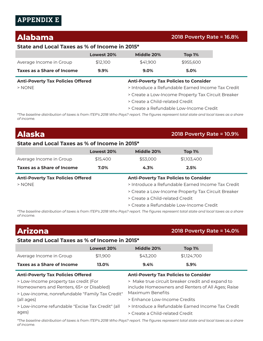## **APPENDIX E**

## **Alabama 2018 Poverty Rate = 16.8%**

#### **State and Local Taxes as % of Income in 2015\***

|                                          | Lowest 20% | Middle 20%                                   | Top $1%$  |
|------------------------------------------|------------|----------------------------------------------|-----------|
| Average Income in Group                  | \$12,100   | \$41,900                                     | \$955,600 |
| Taxes as a Share of Income               | 9.9%       | $9.0\%$                                      | 5.0%      |
| <b>Anti-Poverty Tax Policies Offered</b> |            | <b>Anti-Poverty Tax Policies to Consider</b> |           |

- 
- > NONE > Introduce a Refundable Earned Income Tax Credit
	- > Create a Low-Income Property Tax Circuit Breaker
	- > Create a Child-related Credit
	- > Create a Refundable Low-Income Credit

*\*The baseline distribution of taxes is from ITEP's 2018 Who Pays? report. The figures represent total state and local taxes as a share of income.*

| <b>Alaska</b>                                 |            |                                 | 2018 Poverty Rate = 10.9%                          |  |
|-----------------------------------------------|------------|---------------------------------|----------------------------------------------------|--|
| State and Local Taxes as % of Income in 2015* |            |                                 |                                                    |  |
|                                               | Lowest 20% | Middle 20%                      | Top 1%                                             |  |
| Average Income in Group                       | \$15,400   | \$53,000                        | \$1,103,400                                        |  |
| Taxes as a Share of Income                    | 7.0%       | 4.3%                            | 2.5%                                               |  |
| <b>Anti-Poverty Tax Policies Offered</b>      |            |                                 | <b>Anti-Poverty Tax Policies to Consider</b>       |  |
| $>$ NONE                                      |            |                                 | > Introduce a Refundable Farned Income Tax Credit  |  |
|                                               |            |                                 | > Create a Low-Income Property Tax Circuit Breaker |  |
|                                               |            | > Create a Child-related Credit |                                                    |  |
|                                               |            |                                 | > Create a Refundable Low-Income Credit            |  |

*\*The baseline distribution of taxes is from ITEP's 2018 Who Pays? report. The figures represent total state and local taxes as a share of income.*

| <b>Arizona</b>                                                                    |            |                                              | 2018 Poverty Rate = 14.0%                                                                             |  |
|-----------------------------------------------------------------------------------|------------|----------------------------------------------|-------------------------------------------------------------------------------------------------------|--|
| State and Local Taxes as % of Income in 2015*                                     |            |                                              |                                                                                                       |  |
|                                                                                   | Lowest 20% | Middle 20%                                   | Top 1%                                                                                                |  |
| Average Income in Group                                                           | \$11,900   | \$43,200                                     | \$1,124,700                                                                                           |  |
| <b>Taxes as a Share of Income</b>                                                 | 13.0%      | 9.4%                                         | 5.9%                                                                                                  |  |
| <b>Anti-Poverty Tax Policies Offered</b>                                          |            | <b>Anti-Poverty Tax Policies to Consider</b> |                                                                                                       |  |
|                                                                                   |            |                                              |                                                                                                       |  |
| > Low-Income property tax credit (For<br>Homeowners and Renters, 65+ or Disabled) |            | Maximum Benefits                             | > Make true circuit breaker credit and expand to<br>include Homeowners and Renters of All Ages; Raise |  |
| > Low-income, nonrefundable "Family Tax Credit"<br>(all ages)                     |            | > Enhance Low-Income Credits                 |                                                                                                       |  |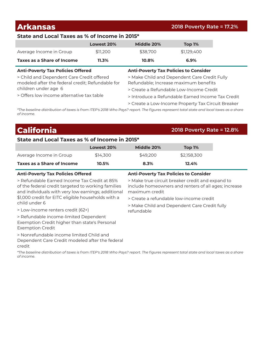### **Arkansas 2018 Poverty Rate = 17.2%**

#### **State and Local Taxes as % of Income in 2015\***

|                                                                                               | Lowest 20% | Middle 20%                                                                            | <b>Top 1%</b> |
|-----------------------------------------------------------------------------------------------|------------|---------------------------------------------------------------------------------------|---------------|
| Average Income in Group                                                                       | \$11,200   | \$38,700                                                                              | \$1,129,400   |
| <b>Taxes as a Share of Income</b>                                                             | $11.3\%$   | 10.8%                                                                                 | 6.9%          |
| <b>Anti-Poverty Tax Policies Offered</b>                                                      |            | <b>Anti-Poverty Tax Policies to Consider</b>                                          |               |
| > Child and Dependent Care Credit offered<br>modeled after the federal credit; Refundable for |            | > Make Child and Dependent Care Credit Fully<br>Refundable; Increase maximum benefits |               |
| children under age 6                                                                          |            | > Create a Refundable Low-Income Credit                                               |               |
| > Offers low income alternative tax table                                                     |            | S Introduce a Defundable Earned Income Tay Credit                                     |               |

> Introduce a Refundable Earned Income Tax Credit

> Create a Low-Income Property Tax Circuit Breaker

*\*The baseline distribution of taxes is from ITEP's 2018 Who Pays? report. The figures represent total state and local taxes as a share of income.*

## **California 2018 Poverty Rate = 12.8%**

#### **State and Local Taxes as % of Income in 2015\***

|                            | Lowest 20% | Middle 20% | Top 1%      |
|----------------------------|------------|------------|-------------|
| Average Income in Group    | \$14,300   | \$49,200   | \$2.158.300 |
| Taxes as a Share of Income | 10.5%      | 8.3%       | 12.4%       |

> Refundable Earned Income Tax Credit at 85% of the federal credit targeted to working families and individuals with very low earnings; additional \$1,000 credit for EITC eligible households with a child under 6

> Low-income renters credit (62+)

> Refundable income-limited Dependent Exemption Credit higher than state's Personal Exemption Credit

> Nonrefundable income limited Child and

Dependent Care Credit modeled after the federal credit

#### **Anti-Poverty Tax Policies Offered Anti-Poverty Tax Policies to Consider**

> Make true circuit breaker credit and expand to include homeowners and renters of all ages; increase maximum credit

> Create a refundable low-income credit

> Make Child and Dependent Care Credit fully refundable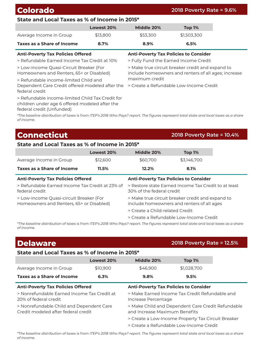## **Colorado 2018 Poverty Rate = 9.6%**

#### **State and Local Taxes as % of Income in 2015\***

|                                                                                                    | Lowest 20% | Middle 20%                                                                                               | Top 1%                                       |  |
|----------------------------------------------------------------------------------------------------|------------|----------------------------------------------------------------------------------------------------------|----------------------------------------------|--|
| Average Income in Group                                                                            | \$13,800   | \$53,300                                                                                                 | \$1,503,300                                  |  |
| Taxes as a Share of Income                                                                         | 8.7%       | 8.9%                                                                                                     | 6.5%                                         |  |
| <b>Anti-Poverty Tax Policies Offered</b>                                                           |            |                                                                                                          | <b>Anti-Poverty Tax Policies to Consider</b> |  |
| > Refundable Earned Income Tax Credit at 10%                                                       |            | > Fully Fund the Earned Income Credit                                                                    |                                              |  |
| > Low-Income Quasi-Circuit Breaker (For<br>Homeowners and Renters, 65+ or Disabled)                |            | > Make true circuit breaker credit and expand to<br>include homeowners and renters of all ages; increase |                                              |  |
| > Refundable income-limited Child and                                                              |            | maximum credit                                                                                           |                                              |  |
| Dependent Care Credit offered modeled after the<br>federal credit                                  |            |                                                                                                          | > Create a Refundable Low-Income Credit      |  |
| > Refundable income-limited Child Tax Credit for<br>children under age 6 offered modeled after the |            |                                                                                                          |                                              |  |

*\*The baseline distribution of taxes is from ITEP's 2018 Who Pays? report. The figures represent total state and local taxes as a share of income.*

## **Connecticut 2018 Poverty Rate = 10.4%**

federal credit (Unfunded)

#### **State and Local Taxes as % of Income in 2015\***

|                            | Lowest 20% | Middle 20% | Top 1%      |
|----------------------------|------------|------------|-------------|
| Average Income in Group    | \$12,600   | \$60,700   | \$3.146.700 |
| Taxes as a Share of Income | 11.5%      | 12.2%      | 8.1%        |

| <b>Anti-Poverty Tax Policies Offered</b>                                            | <b>Anti-Poverty Tax Policies to Consider</b>                                                   |
|-------------------------------------------------------------------------------------|------------------------------------------------------------------------------------------------|
| > Refundable Earned Income Tax Credit at 23% of<br>federal credit                   | > Restore state Earned Income Tax Credit to at least<br>30% of the federal credit              |
| > Low-Income Quasi-circuit Breaker (For<br>Homeowners and Renters, 65+ or Disabled) | > Make true circuit breaker credit and expand to<br>include homeowners and renters of all ages |
|                                                                                     | > Create a Child-related Credit                                                                |
|                                                                                     | > Create a Refundable Low-Income Credit                                                        |

*\*The baseline distribution of taxes is from ITEP's 2018 Who Pays? report. The figures represent total state and local taxes as a share of income.*

## **Delaware 2018 Poverty Rate = 12.5%**

### **State and Local Taxes as % of Income in 2015\***

|                                                                                 | Lowest 20% | Middle 20%                                                                         | Top 1%      |
|---------------------------------------------------------------------------------|------------|------------------------------------------------------------------------------------|-------------|
| Average Income in Group                                                         | \$10,900   | \$46,900                                                                           | \$1,028,700 |
| Taxes as a Share of Income                                                      | 6.3%       | 9.8%                                                                               | 9.5%        |
| <b>Anti-Poverty Tax Policies Offered</b>                                        |            | <b>Anti-Poverty Tax Policies to Consider</b>                                       |             |
| > Nonrefundable Farned Income Tax Credit at<br>20% of federal credit            |            | > Make Earned Income Tax Credit Refundable and<br>Increase Percentage              |             |
| > Nonrefundable Child and Dependent Care<br>Credit modeled after federal credit |            | > Make Child and Dependent Care Credit Refundable<br>and Increase Maximum Benefits |             |
|                                                                                 |            | > Create a Low-Income Property Tax Circuit Breaker                                 |             |
|                                                                                 |            | > Create a Refundable Low-Income Credit                                            |             |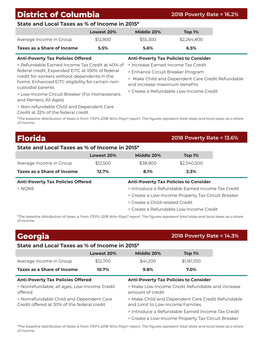## **District of Columbia 2018 Poverty Rate = 16.2%**

#### **State and Local Taxes as % of Income in 2015\***

|                            | Lowest 20% | Middle 20% | Top 1%      |
|----------------------------|------------|------------|-------------|
| Average Income in Group    | \$12,800   | \$55,300   | \$2,264,800 |
| Taxes as a Share of Income | 5.5%       | 5.6%       | 6.5%        |

> Refundable Earned Income Tax Credit at 40% of federal credit; Expanded EITC at 100% of federal credit for workers without dependents in the home; Enhanced EITC eligibility for certain noncustodial parents

> Low-Income Circuit Breaker (For Homeowners and Renters, All Ages)

> Non-refundable Child and Dependent Care

**Anti-Poverty Tax Policies Offered Anti-Poverty Tax Policies to Consider**

> Increase Earned Income Tax Credit

> Enhance Circuit Breaker Program

- > Make Child and Dependent Care Credit Refundable and Increase maximum benefits
- > Create a Refundable Low-Income Credit

Credit at 32% of the federal credit

*\*The baseline distribution of taxes is from ITEP's 2018 Who Pays? report. The figures represent total state and local taxes as a share of income.*

## **Florida 2018 Poverty Rate = 13.6%**

### **State and Local Taxes as % of Income in 2015\***

|                                          | Lowest 20% | Middle 20%                                         | <b>Top 1%</b> |
|------------------------------------------|------------|----------------------------------------------------|---------------|
| Average Income in Group                  | \$12,500   | \$38,800                                           | \$2,340,500   |
| Taxes as a Share of Income               | 12.7%      | 8.1%                                               | 2.3%          |
| <b>Anti-Poverty Tax Policies Offered</b> |            | <b>Anti-Poverty Tax Policies to Consider</b>       |               |
| $>$ NONE                                 |            | > Introduce a Refundable Farned Income Tax Credit  |               |
|                                          |            | > Create a Low-Income Property Tax Circuit Breaker |               |
|                                          |            | > Create a Child-related Credit                    |               |
|                                          |            | > Create a Refundable Low-Income Credit            |               |

*\*The baseline distribution of taxes is from ITEP's 2018 Who Pays? report. The figures represent total state and local taxes as a share of income.*

| Georgia                                                                                  |            |                                  | 2018 Poverty Rate = 14.3%                         |  |
|------------------------------------------------------------------------------------------|------------|----------------------------------|---------------------------------------------------|--|
| State and Local Taxes as % of Income in 2015*                                            |            |                                  |                                                   |  |
|                                                                                          | Lowest 20% | Middle 20%                       | Top 1%                                            |  |
| Average Income in Group                                                                  | \$12,700   | \$41,200                         | \$1,161,100                                       |  |
| Taxes as a Share of Income                                                               | 10.7%      | 9.8%                             | 7.0%                                              |  |
| <b>Anti-Poverty Tax Policies to Consider</b><br><b>Anti-Poverty Tax Policies Offered</b> |            |                                  |                                                   |  |
| > Nonrefundable, all ages, Low-Income Credit<br>offered                                  |            |                                  |                                                   |  |
|                                                                                          |            | amount of credit                 | > Make Low-Income Credit Refundable and increase  |  |
| > Nonrefundable Child and Dependent Care<br>Credit offered at 30% of the federal credit  |            | and Limit to Low-Income Families | > Make Child and Dependent Care Credit Refundable |  |
|                                                                                          |            |                                  | > Introduce a Refundable Farned Income Tax Credit |  |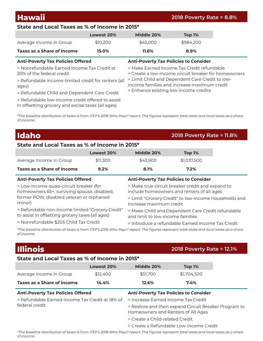## **Hawaii 2018 Poverty Rate = 8.8%**

### **State and Local Taxes as % of Income in 2015\***

|                                                                                                                                          | Lowest 20% | Middle 20%                                                                                         | Top 1%    |
|------------------------------------------------------------------------------------------------------------------------------------------|------------|----------------------------------------------------------------------------------------------------|-----------|
| Average Income in Group                                                                                                                  | \$10,200   | \$45,000                                                                                           | \$984,200 |
| Taxes as a Share of Income                                                                                                               | 15.0%      | 11.6%                                                                                              | 8.9%      |
| <b>Anti-Poverty Tax Policies Offered</b>                                                                                                 |            | <b>Anti-Poverty Tax Policies to Consider</b>                                                       |           |
| > Nonrefundable Farned Income Tax Credit at<br>20% of the federal credit<br>> Refundable income-limited credit for renters (all<br>ages) |            | > Make Farned Income Tax Credit refundable<br>> Create a low-income circuit breaker for homeowners |           |
|                                                                                                                                          |            | > Limit Child and Dependent Care Credit to low-<br>income families and increase maximum credit     |           |
| > Refundable Child and Dependent Care Credit                                                                                             |            | > Enhance existing low-income credits                                                              |           |
| > Refundable low-income credit offered to assist                                                                                         |            |                                                                                                    |           |

*\*The baseline distribution of taxes is from ITEP's 2018 Who Pays? report. The figures represent total state and local taxes as a share of income.*

## **Idaho 2018 Poverty Rate = 11.8%**

#### **State and Local Taxes as % of Income in 2015\***

in offsetting grocery and excise taxes (all ages)

|                            | Lowest 20% | Middle 20% | Top 1%      |
|----------------------------|------------|------------|-------------|
| Average Income in Group    | \$11,300   | \$43.900   | \$1.037.500 |
| Taxes as a Share of Income | 9.2%       | 8.1%       | 7.2%        |

| <b>Anti-Poverty Tax Policies Offered</b>         | <b>Anti-Poverty Tax Policies to Consider</b>          |
|--------------------------------------------------|-------------------------------------------------------|
| > Low-income quasi-circuit breaker (for          | > Make true circuit breaker credit and expand to      |
| homeowners 65+, surviving spouse, disabled,      | include homeowners and renters of all ages            |
| former POW, disabled veteran or orphaned         | > Limit "Grocery Credit" to low-income households and |
| minor)                                           | increase maximum credit                               |
| > Refundable non-income limited "Grocery Credit" | > Make Child and Dependent Care Credit refundable     |
| to assist in offsetting grocery taxes (all ages) | and limit to low-income families                      |
| > Nonrefundable \$205 Child Tax Credit           | > Introduce a refundable Earned Income Tax Credit     |

*\*The baseline distribution of taxes is from ITEP's 2018 Who Pays? report. The figures represent total state and local taxes as a share of income.*

## **Illinois 2018 Poverty Rate = 12.1%**

#### **State and Local Taxes as % of Income in 2015\***

|                                                                   | Lowest 20% | Middle 20%                                   | Top 1%                                               |  |
|-------------------------------------------------------------------|------------|----------------------------------------------|------------------------------------------------------|--|
| Average Income in Group                                           | \$12,400   | \$51,700                                     | \$1,704,500                                          |  |
| Taxes as a Share of Income                                        | 14.4%      | 12.6%                                        | 7.4%                                                 |  |
| <b>Anti-Poverty Tax Policies Offered</b>                          |            | <b>Anti-Poverty Tax Policies to Consider</b> |                                                      |  |
| > Refundable Earned Income Tax Credit at 18% of<br>federal credit |            | > Increase Earned Income Tax Credit          |                                                      |  |
|                                                                   |            | Homeowners and Renters of All Ages           | > Restore and then expand Circuit Breaker Program to |  |
|                                                                   |            | > Create a Child-related Credit              |                                                      |  |
|                                                                   |            |                                              | > Create a Refundable Low-Income Credit              |  |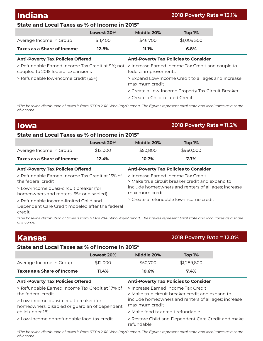|  | <b>Indiana</b> |  |
|--|----------------|--|
|  |                |  |
|  |                |  |

#### **Indiana 2018 Poverty Rate = 13.1%**

## **State and Local Taxes as % of Income in 2015\***

|                                                                                        | Lowest 20% | Middle 20%                      | Top 1%                                              |  |
|----------------------------------------------------------------------------------------|------------|---------------------------------|-----------------------------------------------------|--|
| Average Income in Group                                                                | \$11,400   | \$46,700                        | \$1,009,500                                         |  |
| Taxes as a Share of Income                                                             | 12.8%      | 11.1%                           | 6.8%                                                |  |
| <b>Anti-Poverty Tax Policies Offered</b>                                               |            |                                 | <b>Anti-Poverty Tax Policies to Consider</b>        |  |
| > Refundable Earned Income Tax Credit at 9%; not<br>coupled to 2015 federal expansions |            | federal improvements            | > Increase Earned Income Tax Credit and couple to   |  |
| > Refundable low-income credit (65+)                                                   |            | maximum credit                  | > Expand Low-Income Credit to all ages and increase |  |
|                                                                                        |            |                                 | > Create a Low-Income Property Tax Circuit Breaker  |  |
|                                                                                        |            | > Create a Child-related Credit |                                                     |  |

*\*The baseline distribution of taxes is from ITEP's 2018 Who Pays? report. The figures represent total state and local taxes as a share of income.*

## **Iowa 2018 Poverty Rate = 11.2% State and Local Taxes as % of Income in 2015\* Lowest 20% Middle 20% Top 1%** Average Income in Group \$12,000 \$50,800 \$960,000

| <b>Taxes as a Share of Income</b><br>12.4%                                                         | 10.7%                               | $7.7\%$                                              |  |
|----------------------------------------------------------------------------------------------------|-------------------------------------|------------------------------------------------------|--|
| <b>Anti-Poverty Tax Policies Offered</b>                                                           |                                     | <b>Anti-Poverty Tax Policies to Consider</b>         |  |
| > Refundable Earned Income Tax Credit at 15% of<br>the federal credit                              | > Increase Earned Income Tax Credit | > Make true circuit breaker credit and expand to     |  |
| > Low-income quasi-circuit breaker (for<br>homeowners and renters, 65+ or disabled)                | maximum credit                      | include homeowners and renters of all ages; increase |  |
| > Refundable income-limited Child and<br>Dependent Care Credit modeled after the federal<br>credit |                                     | > Create a refundable low-income credit              |  |

*\*The baseline distribution of taxes is from ITEP's 2018 Who Pays? report. The figures represent total state and local taxes as a share of income.*

| <b>Kansas</b>                                                                                               |                                               |                                                                                         | 2018 Poverty Rate = 12.0%                            |  |  |  |
|-------------------------------------------------------------------------------------------------------------|-----------------------------------------------|-----------------------------------------------------------------------------------------|------------------------------------------------------|--|--|--|
|                                                                                                             | State and Local Taxes as % of Income in 2015* |                                                                                         |                                                      |  |  |  |
|                                                                                                             | Lowest 20%                                    | Middle 20%                                                                              | Top 1%                                               |  |  |  |
| Average Income in Group                                                                                     | \$12,000                                      | \$50,700                                                                                | \$1,289,800                                          |  |  |  |
| Taxes as a Share of Income                                                                                  | 11.4%                                         | 10.6%                                                                                   | 7.4%                                                 |  |  |  |
| <b>Anti-Poverty Tax Policies Offered</b>                                                                    |                                               | <b>Anti-Poverty Tax Policies to Consider</b>                                            |                                                      |  |  |  |
| > Refundable Earned Income Tax Credit at 17% of<br>the federal credit                                       |                                               | > Increase Earned Income Tax Credit<br>> Make true circuit breaker credit and expand to |                                                      |  |  |  |
| > Low-income quasi-circuit breaker (for<br>homeowners, disabled or guardian of dependent<br>child under 18) |                                               | maximum credit                                                                          | include homeowners and renters of all ages; increase |  |  |  |
|                                                                                                             |                                               | > Make food tax credit refundable                                                       |                                                      |  |  |  |
| > Low-income nonrefundable food tax credit                                                                  |                                               | > Restore Child and Dependent Care Credit and make<br>refundable                        |                                                      |  |  |  |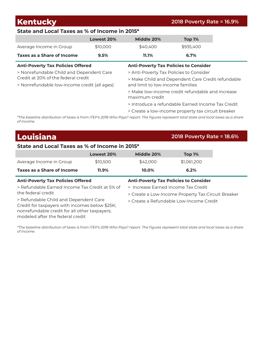**Kentucky 2018 Poverty Rate = 16.9% State and Local Taxes as % of Income in 2015\* Lowest 20% Middle 20% Top 1%** Average Income in Group  $$10,000$   $$40,400$  \$935,400 **Taxes as a Share of Income 9.5% 11.1% 6.7% Anti-Poverty Tax Policies Offered Anti-Poverty Tax Policies to Consider** > Nonrefundable Child and Dependent Care Credit at 20% of the federal credit > Nonrefundable low-income credit (all ages) > Anti-Poverty Tax Policies to Consider > Make Child and Dependent Care Credit refundable and limit to low-income families > Make low-income credit refundable and increase maximum credit > Introduce a refundable Earned Income Tax Credit > Create a low-income property tax circuit breaker

*\*The baseline distribution of taxes is from ITEP's 2018 Who Pays? report. The figures represent total state and local taxes as a share of income.*

## **Louisiana 2018 Poverty Rate = 18.6%**

#### **State and Local Taxes as % of Income in 2015\***

|                                          | Lowest 20% | Middle 20%                                   | Top 1%      |
|------------------------------------------|------------|----------------------------------------------|-------------|
| Average Income in Group                  | \$10,500   | \$42,000                                     | \$1,061,200 |
| Taxes as a Share of Income               | 11.9%      | 10.0%                                        | 6.2%        |
| <b>Anti-Poverty Tax Policies Offered</b> |            | <b>Anti-Poverty Tax Policies to Consider</b> |             |

> Refundable Earned Income Tax Credit at 5% of the federal credit

> Increase Earned Income Tax Credit

> Create a Low-Income Property Tax Circuit Breaker

> Create a Refundable Low-Income Credit

> Refundable Child and Dependent Care Credit for taxpayers with incomes below \$25K; nonrefundable credit for all other taxpayers; modeled after the federal credit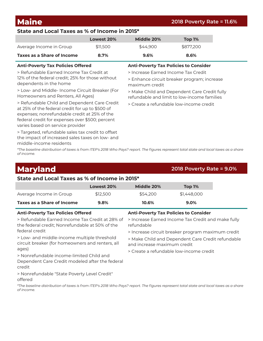## **State and Local Taxes as % of Income in 2015\***

|                            | Lowest 20% | Middle 20% | Top 1%    |
|----------------------------|------------|------------|-----------|
| Average Income in Group    | \$11.500   | \$44.900   | \$877.200 |
| Taxes as a Share of Income | 8.7%       | $9.6\%$    | 8.6%      |

> Refundable Earned Income Tax Credit at 12% of the federal credit; 25% for those without dependents in the home

> Low- and Middle- Income Circuit Breaker (For Homeowners and Renters, All Ages)

> Refundable Child and Dependent Care Credit at 25% of the federal credit for up to \$500 of expenses; nonrefundable credit at 25% of the federal credit for expenses over \$500; percent varies based on service provider

> Targeted, refundable sales tax credit to offset the impact of increased sales taxes on low- and middle-income residents

#### **Anti-Poverty Tax Policies Offered Anti-Poverty Tax Policies to Consider**

> Increase Earned Income Tax Credit

> Enhance circuit breaker program; increase maximum credit

> Make Child and Dependent Care Credit fully refundable and limit to low-income families

> Create a refundable low-income credit

*\*The baseline distribution of taxes is from ITEP's 2018 Who Pays? report. The figures represent total state and local taxes as a share of income.*

| <b>Maryland</b>                                                                                       |            |                                                                  | 2018 Poverty Rate = $9.0\%$                       |  |  |
|-------------------------------------------------------------------------------------------------------|------------|------------------------------------------------------------------|---------------------------------------------------|--|--|
| State and Local Taxes as % of Income in 2015*                                                         |            |                                                                  |                                                   |  |  |
|                                                                                                       | Lowest 20% | Middle 20%                                                       | Top 1%                                            |  |  |
| Average Income in Group                                                                               | \$12,500   | \$54,200                                                         | \$1,448,000                                       |  |  |
| Taxes as a Share of Income                                                                            | 9.8%       | 10.6%                                                            | $9.0\%$                                           |  |  |
| <b>Anti-Poverty Tax Policies Offered</b>                                                              |            |                                                                  | <b>Anti-Poverty Tax Policies to Consider</b>      |  |  |
| > Refundable Earned Income Tax Credit at 28% of<br>the federal credit; Nonrefundable at 50% of the    |            | > Increase Earned Income Tax Credit and make fully<br>refundable |                                                   |  |  |
| federal credit                                                                                        |            | > Increase circuit breaker program maximum credit                |                                                   |  |  |
| > Low- and middle-income multiple threshold<br>circuit breaker (for homeowners and renters, all       |            | and increase maximum credit                                      | > Make Child and Dependent Care Credit refundable |  |  |
| ages)                                                                                                 |            |                                                                  | > Create a refundable low-income credit           |  |  |
| > Nonrefundable income-limited Child and<br>Dependent Care Credit modeled after the federal<br>credit |            |                                                                  |                                                   |  |  |
| > Nonrefundable "State Poverty Level Credit"<br>offered                                               |            |                                                                  |                                                   |  |  |

*\*The baseline distribution of taxes is from ITEP's 2018 Who Pays? report. The figures represent total state and local taxes as a share of income.*

### **Maine 2018 Poverty Rate = 11.6%**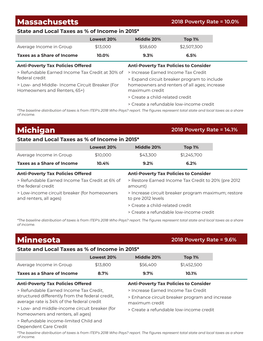## **Massachusetts 2018 Poverty Rate = 10.0%**

### **State and Local Taxes as % of Income in 2015\***

|                            | Lowest 20% | Middle 20% | Top 1%      |
|----------------------------|------------|------------|-------------|
| Average Income in Group    | \$13,000   | \$58,600   | \$2,507,300 |
| Taxes as a Share of Income | 10.0%      | 9.3%       | 6.5%        |

> Refundable Earned Income Tax Credit at 30% of federal credit

> Low- and Middle- Income Circuit Breaker (For Homeowners and Renters, 65+)

#### **Anti-Poverty Tax Policies Offered Anti-Poverty Tax Policies to Consider**

> Increase Earned Income Tax Credit

> Expand circuit breaker program to include homeowners and renters of all ages; increase maximum credit

- > Create a child-related credit
- > Create a refundable low-income credit

*\*The baseline distribution of taxes is from ITEP's 2018 Who Pays? report. The figures represent total state and local taxes as a share of income.*

## **Michigan 2018 Poverty Rate = 14.1%**

#### **State and Local Taxes as % of Income in 2015\***

|                                                                        | Lowest 20% | Middle 20%                                                                | Top 1%      |  |
|------------------------------------------------------------------------|------------|---------------------------------------------------------------------------|-------------|--|
| Average Income in Group                                                | \$10,000   | \$43,300                                                                  | \$1,245,700 |  |
| <b>Taxes as a Share of Income</b>                                      | 10.4%      | 9.2%                                                                      | 6.2%        |  |
| <b>Anti-Poverty Tax Policies Offered</b>                               |            | <b>Anti-Poverty Tax Policies to Consider</b>                              |             |  |
| > Refundable Earned Income Tax Credit at 6% of<br>the federal credit   |            | > Restore Earned Income Tax Credit to 20% (pre 2012<br>amount)            |             |  |
| > Low-income circuit breaker (for homeowners<br>and renters, all ages) |            | > Increase circuit breaker program maximum; restore<br>to pre 2012 levels |             |  |
|                                                                        |            | > Create a child-related credit                                           |             |  |
|                                                                        |            |                                                                           |             |  |

> Create a refundable low-income credit

*\*The baseline distribution of taxes is from ITEP's 2018 Who Pays? report. The figures represent total state and local taxes as a share of income.*

| <b>Minnesota</b>                                                                             |            |                                                                  | 2018 Poverty Rate = 9.6%                |  |
|----------------------------------------------------------------------------------------------|------------|------------------------------------------------------------------|-----------------------------------------|--|
| State and Local Taxes as % of Income in 2015*                                                |            |                                                                  |                                         |  |
|                                                                                              | Lowest 20% | Middle 20%                                                       | <b>Top 1%</b>                           |  |
| Average Income in Group                                                                      | \$13,800   | \$56,400                                                         | \$1,452,500                             |  |
| Taxes as a Share of Income                                                                   | 8.7%       | 9.7%                                                             | 10.1%                                   |  |
| <b>Anti-Poverty Tax Policies Offered</b><br><b>Anti-Poverty Tax Policies to Consider</b>     |            |                                                                  |                                         |  |
| > Refundable Earned Income Tax Credit,                                                       |            | > Increase Earned Income Tax Credit                              |                                         |  |
| structured differently from the federal credit,<br>average rate is 34% of the federal credit |            | > Enhance circuit breaker program and increase<br>maximum credit |                                         |  |
| > Low- and middle-income circuit breaker (for<br>homeowners and renters, all ages)           |            |                                                                  | > Create a refundable low-income credit |  |
| > Refundable income-limited Child and                                                        |            |                                                                  |                                         |  |
| Dependent Care Credit                                                                        |            |                                                                  |                                         |  |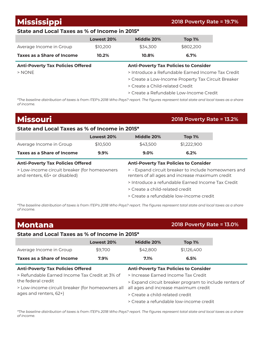**Mississippi 2018 Poverty Rate = 19.7%**

### **State and Local Taxes as % of Income in 2015\***

|                            | Lowest 20% | Middle 20% | Top 1%    |
|----------------------------|------------|------------|-----------|
| Average Income in Group    | \$10,200   | \$34,300   | \$802,200 |
| Taxes as a Share of Income | 10.2%      | 10.8%      | 6.7%      |

#### **Anti-Poverty Tax Policies Offered Anti-Poverty Tax Policies to Consider**

> NONE > Introduce a Refundable Earned Income Tax Credit

- > Create a Low-Income Property Tax Circuit Breaker
- > Create a Child-related Credit
- > Create a Refundable Low-Income Credit

*\*The baseline distribution of taxes is from ITEP's 2018 Who Pays? report. The figures represent total state and local taxes as a share of income.*

| <b>Missouri</b>                                                               |            |                                         | <b>2018 Poverty Rate = 13.2%</b>                                                                      |  |
|-------------------------------------------------------------------------------|------------|-----------------------------------------|-------------------------------------------------------------------------------------------------------|--|
| State and Local Taxes as % of Income in 2015*                                 |            |                                         |                                                                                                       |  |
|                                                                               | Lowest 20% | Middle 20%                              | Top 1%                                                                                                |  |
| Average Income in Group                                                       | \$10,500   | \$43,500                                | \$1,222,900                                                                                           |  |
| Taxes as a Share of Income                                                    | $9.9\%$    | 9.0%                                    | 6.2%                                                                                                  |  |
| <b>Anti-Poverty Tax Policies Offered</b>                                      |            |                                         | <b>Anti-Poverty Tax Policies to Consider</b>                                                          |  |
| > Low-income circuit breaker (for homeowners<br>and renters, 65+ or disabled) |            |                                         | > Expand circuit breaker to include homeowners and<br>renters of all ages and increase maximum credit |  |
|                                                                               |            |                                         | > Introduce a refundable Earned Income Tax Credit                                                     |  |
|                                                                               |            | > Create a child-related credit         |                                                                                                       |  |
|                                                                               |            | > Create a refundable low-income credit |                                                                                                       |  |

*\*The baseline distribution of taxes is from ITEP's 2018 Who Pays? report. The figures represent total state and local taxes as a share of income.*

| <b>Montana</b>                                   |            |                                                        | 2018 Poverty Rate = 13.0%                    |  |
|--------------------------------------------------|------------|--------------------------------------------------------|----------------------------------------------|--|
| State and Local Taxes as % of Income in 2015*    |            |                                                        |                                              |  |
|                                                  | Lowest 20% | Middle 20%                                             | Top 1%                                       |  |
| Average Income in Group                          | \$9,700    | \$42,800                                               | \$1,126,400                                  |  |
| Taxes as a Share of Income                       | 7.9%       | 7.1%                                                   | 6.5%                                         |  |
| <b>Anti-Poverty Tax Policies Offered</b>         |            |                                                        | <b>Anti-Poverty Tax Policies to Consider</b> |  |
| > Refundable Farned Income Tax Credit at 3% of   |            | > Increase Farned Income Tax Credit                    |                                              |  |
| the federal credit                               |            | > Expand circuit breaker program to include renters of |                                              |  |
| > Low-income circuit breaker (for homeowners all |            |                                                        | all ages and increase maximum credit         |  |
| ages and renters, 62+)                           |            | > Create a child-related credit                        |                                              |  |
|                                                  |            |                                                        | > Create a refundable low-income credit      |  |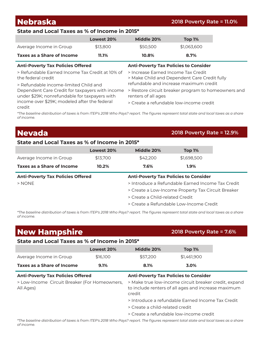**Nebraska 2018 Poverty Rate = 11.0%**

#### **State and Local Taxes as % of Income in 2015\***

|                            | Lowest 20% | Middle 20% | Top 1%      |
|----------------------------|------------|------------|-------------|
| Average Income in Group    | \$13,800   | \$50,500   | \$1,063,600 |
| Taxes as a Share of Income | 11.1%      | $10.8\%$   | 8.7%        |

## **Anti-Poverty Tax Policies Offered Anti-Poverty Tax Policies to Consider**

> Refundable Earned Income Tax Credit at 10% of the federal credit

> Refundable income-limited Child and

under \$29K; nonrefundable for taxpayers with income over \$29K; modeled after the federal credit

> Increase Earned Income Tax Credit

- > Make Child and Dependent Care Credit fully
- refundable and increase maximum credit
- Dependent Care Credit for taxpayers with income > Restore circuit breaker program to homeowners and renters of all ages
	- > Create a refundable low-income credit

*\*The baseline distribution of taxes is from ITEP's 2018 Who Pays? report. The figures represent total state and local taxes as a share of income.*

## **Nevada 2018 Poverty Rate = 12.9%**

### **State and Local Taxes as % of Income in 2015\***

|                                          | Lowest 20% | Middle 20%                                                                            | Top 1%      |
|------------------------------------------|------------|---------------------------------------------------------------------------------------|-------------|
| Average Income in Group                  | \$13,700   | \$42,200                                                                              | \$1,698,500 |
| Taxes as a Share of Income               | 10.2%      | $7.6\%$                                                                               | $1.9\%$     |
| <b>Anti-Poverty Tax Policies Offered</b> |            | <b>Anti-Poverty Tax Policies to Consider</b>                                          |             |
| $>$ NONE                                 |            | > Introduce a Refundable Earned Income Tax Credit                                     |             |
|                                          |            | > Create a Low-Income Property Tax Circuit Breaker<br>> Create a Child-related Credit |             |
|                                          |            |                                                                                       |             |
|                                          |            | > Create a Refundable Low-Income Credit                                               |             |

*\*The baseline distribution of taxes is from ITEP's 2018 Who Pays? report. The figures represent total state and local taxes as a share of income.*

| <b>New Hampshire</b>                                       |            |                                 | <b>2018 Poverty Rate = 7.6%</b>                                                                              |  |
|------------------------------------------------------------|------------|---------------------------------|--------------------------------------------------------------------------------------------------------------|--|
| State and Local Taxes as % of Income in 2015*              |            |                                 |                                                                                                              |  |
|                                                            | Lowest 20% | Middle 20%                      | Top 1%                                                                                                       |  |
| Average Income in Group                                    | \$16,100   | \$57,200                        | \$1,461,900                                                                                                  |  |
| Taxes as a Share of Income                                 | 9.1%       | 8.1%                            | 3.0%                                                                                                         |  |
| <b>Anti-Poverty Tax Policies Offered</b>                   |            |                                 | <b>Anti-Poverty Tax Policies to Consider</b>                                                                 |  |
| > Low-Income Circuit Breaker (For Homeowners,<br>All Ages) |            | credit                          | > Make true low-income circuit breaker credit, expand<br>to include renters of all ages and increase maximum |  |
|                                                            |            |                                 | > Introduce a refundable Farned Income Tax Credit                                                            |  |
|                                                            |            | > Create a child-related credit |                                                                                                              |  |
|                                                            |            |                                 | > Create a refundable low-income credit                                                                      |  |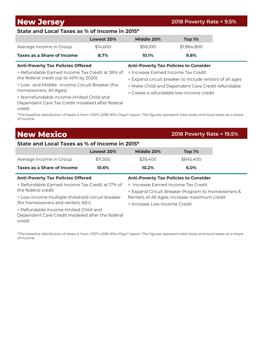**New Jersey 2018 Poverty Rate = 9.5%**

### **State and Local Taxes as % of Income in 2015\***

|                            | Lowest 20% | Middle 20% | Top 1%      |
|----------------------------|------------|------------|-------------|
| Average Income in Group    | \$14,600   | \$58,100   | \$1.864.800 |
| Taxes as a Share of Income | 8.7%       | 10.1%      | 9.8%        |

> Refundable Earned Income Tax Credit at 39% of the federal credit (up to 40% by 2020)

> Low- and Middle- Income Circuit Breaker (For Homeowners, All Ages)

> Nonrefundable income-limited Child and Dependent Care Tax Credit modeled after federal credit

#### **Anti-Poverty Tax Policies Offered Anti-Poverty Tax Policies to Consider**

> Increase Earned Income Tax Credit

- > Expand circuit breaker to include renters of all ages
- > Make Child and Dependent Care Credit refundable
- > Create a refundable low-income credit

*\*The baseline distribution of taxes is from ITEP's 2018 Who Pays? report. The figures represent total state and local taxes as a share of income.*

## **New Mexico 2018 Poverty Rate = 19.5%**

#### **State and Local Taxes as % of Income in 2015\***

|                            | Lowest 20% | Middle 20% | Top 1%    |
|----------------------------|------------|------------|-----------|
| Average Income in Group    | \$11.500   | \$39.400   | \$845,400 |
| Taxes as a Share of Income | 10.6%      | 10.2%      | $6.0\%$   |

#### **Anti-Poverty Tax Policies Offered Anti-Poverty Tax Policies to Consider** > Refundable Earned Income Tax Credit at 17% of the federal credit > Low-income multiple threshold circuit breaker (for homeowners and renters, 65+) > Refundable income-limited Child and Dependent Care Credit modeled after the federal credit > Increase Earned Income Tax Credit > Expand Circuit Breaker Program to Homeowners & Renters of All Ages; Increase maximum credit > Increase Low-Income Credit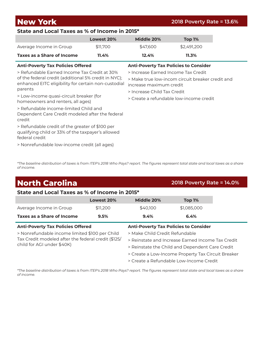**New York 2018 Poverty Rate = 13.6%**

#### **State and Local Taxes as % of Income in 2015\***

|                            | Lowest 20% | Middle 20% | Top 1%      |
|----------------------------|------------|------------|-------------|
| Average Income in Group    | \$11,700   | \$47.600   | \$2,491,200 |
| Taxes as a Share of Income | $11.4\%$   | 12.4%      | 11.3%       |

#### **Anti-Poverty Tax Policies Offered Anti-Poverty Tax Policies to Consider**

> Increase Earned Income Tax Credit

> Make true low-incom circuit breaker credit and

increase maximum credit

> Increase Child Tax Credit

> Create a refundable low-income credit

> Refundable Earned Income Tax Credit at 30% of the federal credit (additional 5% credit in NYC); enhanced EITC eligibility for certain non-custodial parents

> Low-income quasi-circuit breaker (for homeowners and renters, all ages)

> Refundable income-limited Child and Dependent Care Credit modeled after the federal credit

> Refundable credit of the greater of \$100 per qualifying child or 33% of the taxpayer's allowed federal credit

> Nonrefundable low-income credit (all ages)

*\*The baseline distribution of taxes is from ITEP's 2018 Who Pays? report. The figures represent total state and local taxes as a share of income.*

### **North Carolina 2018 Poverty Rate = 14.0% State and Local Taxes as % of Income in 2015\* Lowest 20% Middle 20% Top 1%** Average Income in Group \$11,200 \$40,100 \$1,085,000 **Taxes as a Share of Income 9.5% 9.4% 6.4% Anti-Poverty Tax Policies Offered Anti-Poverty Tax Policies to Consider** > Nonrefundable income limited \$100 per Child Tax Credit modeled after the federal credit (\$125/ child for AGI under \$40K) > Make Child Credit Refundable > Reinstate and Increase Earned Income Tax Credit > Reinstate the Child and Dependent Care Credit > Create a Low-Income Property Tax Circuit Breaker > Create a Refundable Low-Income Credit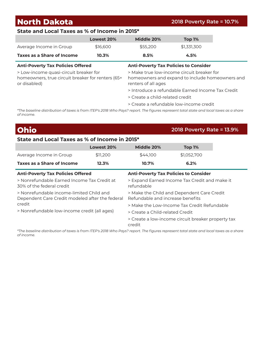## **North Dakota 2018 Poverty Rate = 10.7%**

### **State and Local Taxes as % of Income in 2015\***

|                            | Lowest 20% | Middle 20% | Top 1%      |
|----------------------------|------------|------------|-------------|
| Average Income in Group    | \$16,600   | \$55.200   | \$1.331.300 |
| Taxes as a Share of Income | 10.3%      | 8.5%       | 4.5%        |

> Low-income quasi-circuit breaker for

homeowners, true circuit breaker for renters (65+ or disabled)

#### **Anti-Poverty Tax Policies Offered Anti-Poverty Tax Policies to Consider**

> Make true low-income circuit breaker for homeowners and expand to include homeowners and renters of all ages

- > Introduce a refundable Earned Income Tax Credit
- > Create a child-related credit
- > Create a refundable low-income credit

*\*The baseline distribution of taxes is from ITEP's 2018 Who Pays? report. The figures represent total state and local taxes as a share of income.*

## **Ohio 2018 Poverty Rate = 13.9%**

#### **State and Local Taxes as % of Income in 2015\***

|                                                                                             | Lowest 20% | Middle 20%                                   | Top 1%                                             |  |
|---------------------------------------------------------------------------------------------|------------|----------------------------------------------|----------------------------------------------------|--|
| Average Income in Group                                                                     | \$11,200   | \$44,100                                     | \$1,052,700                                        |  |
| Taxes as a Share of Income                                                                  | 12.3%      | 10.7%                                        | 6.2%                                               |  |
| <b>Anti-Poverty Tax Policies Offered</b>                                                    |            | <b>Anti-Poverty Tax Policies to Consider</b> |                                                    |  |
| > Nonrefundable Farned Income Tax Credit at<br>30% of the federal credit                    |            | refundable                                   | > Expand Earned Income Tax Credit and make it      |  |
| > Nonrefundable income-limited Child and<br>Dependent Care Credit modeled after the federal |            | Refundable and increase benefits             | > Make the Child and Dependent Care Credit         |  |
| credit                                                                                      |            |                                              | > Make the Low-Income Tax Credit Refundable        |  |
| > Nonrefundable low-income credit (all ages)                                                |            | > Create a Child-related Credit              |                                                    |  |
|                                                                                             |            | credit                                       | > Create a low-income circuit breaker property tax |  |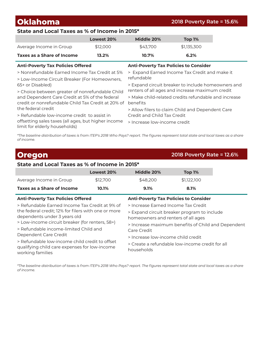**Oklahoma 2018 Poverty Rate = 15.6%**

#### **State and Local Taxes as % of Income in 2015\***

|                            | Lowest 20% | Middle 20% | Top $1\%$   |
|----------------------------|------------|------------|-------------|
| Average Income in Group    | \$12,000   | \$43.700   | \$1,135,300 |
| Taxes as a Share of Income | 13.2%      | $10.7\%$   | 6.2%        |

#### **Anti-Poverty Tax Policies Offered Anti-Poverty Tax Policies to Consider**

> Nonrefundable Earned Income Tax Credit at 5%

> Low-Income Circuit Breaker (For Homeowners, 65+ or Disabled)

> Choice between greater of nonrefundable Child and Dependent Care Credit at 5% of the federal credit or nonrefundable Child Tax Credit at 20% of benefits the federal credit

> Refundable low-income credit to assist in offsetting sales taxes (all ages, but higher income limit for elderly households)

> Expand Earned Income Tax Credit and make it refundable

> Expand circuit breaker to include homeowners and renters of all ages and increase maximum credit

> Make child-related credits refundable and increase

> Allow filers to claim Child and Dependent Care Credit and Child Tax Credit

> Increase low-income credit

*\*The baseline distribution of taxes is from ITEP's 2018 Who Pays? report. The figures represent total state and local taxes as a share of income.*

#### **Oregon 2018 Poverty Rate = 12.6% State and Local Taxes as % of Income in 2015\* Lowest 20% Middle 20% Top 1%** Average Income in Group  $$12,700$   $$48,200$   $$1,122,100$ **Taxes as a Share of Income 10.1% 9.1% 8.1% Anti-Poverty Tax Policies Offered Anti-Poverty Tax Policies to Consider** > Refundable Earned Income Tax Credit at 9% of the federal credit; 12% for filers with one or more dependents under 3 years old > Low-income circuit breaker (for renters, 58+) > Refundable income-limited Child and Dependent Care Credit > Refundable low-income child credit to offset qualifying child care expenses for low-income working families > Increase Earned Income Tax Credit > Expand circuit breaker program to include homeowners and renters of all ages > Increase maximum benefits of Child and Dependent Care Credit > Increase low-income child credit > Create a refundable low-income credit for all households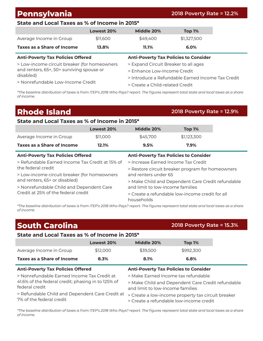## **Pennsylvania 2018 Poverty Rate = 12.2%**

### **State and Local Taxes as % of Income in 2015\***

|                                                                                                                                             | Lowest 20% | Middle 20%                                                                                             | Top 1%                                            |  |
|---------------------------------------------------------------------------------------------------------------------------------------------|------------|--------------------------------------------------------------------------------------------------------|---------------------------------------------------|--|
| Average Income in Group                                                                                                                     | \$11,600   | \$49,400                                                                                               | \$1,327,500                                       |  |
| <b>Taxes as a Share of Income</b>                                                                                                           | 13.8%      | 11.1%                                                                                                  | 6.0%                                              |  |
| <b>Anti-Poverty Tax Policies Offered</b>                                                                                                    |            | <b>Anti-Poverty Tax Policies to Consider</b>                                                           |                                                   |  |
| > Low-income circuit breaker (for homeowners<br>and renters, 65+, 50+ surviving spouse or<br>disabled)<br>> Nonrefundable Low-Income Credit |            | > Expand Circuit Breaker to all ages<br>> Enhance Low-Income Credit<br>> Create a Child-related Credit | > Introduce a Refundable Earned Income Tax Credit |  |

*\*The baseline distribution of taxes is from ITEP's 2018 Who Pays? report. The figures represent total state and local taxes as a share of income.*

## **Rhode Island 2018 Poverty Rate = 12.9%**

#### **State and Local Taxes as % of Income in 2015\***

|                                                 | Lowest 20%                                                                               | Middle 20%                                       | Top 1%                                            |  |
|-------------------------------------------------|------------------------------------------------------------------------------------------|--------------------------------------------------|---------------------------------------------------|--|
| Average Income in Group                         | \$11,000                                                                                 | \$45,700                                         | \$1,123,300                                       |  |
| Taxes as a Share of Income                      | 12.1%                                                                                    | 9.5%                                             | $7.9\%$                                           |  |
|                                                 | <b>Anti-Poverty Tax Policies Offered</b><br><b>Anti-Poverty Tax Policies to Consider</b> |                                                  |                                                   |  |
| > Refundable Farned Income Tax Credit at 15% of |                                                                                          | > Increase Farned Income Tax Credit              |                                                   |  |
| the federal credit                              |                                                                                          | > Restore circuit breaker program for homeowners |                                                   |  |
| > Low-income circuit breaker (for homeowners    |                                                                                          | and renters under 65                             |                                                   |  |
| and renters, 65+ or disabled)                   |                                                                                          |                                                  | > Make Child and Dependent Care Credit refundable |  |
| > Nonrefundable Child and Dependent Care        |                                                                                          | and limit to low-income families                 |                                                   |  |
| Credit at 25% of the federal credit             |                                                                                          | households                                       | > Create a refundable low-income credit for all   |  |

*\*The baseline distribution of taxes is from ITEP's 2018 Who Pays? report. The figures represent total state and local taxes as a share of income.*

## **South Carolina 2018 Poverty Rate = 15.3%**

### **State and Local Taxes as % of Income in 2015\***

|                                                                             | Lowest 20% | Middle 20%                                                                                    | Top 1%    |  |
|-----------------------------------------------------------------------------|------------|-----------------------------------------------------------------------------------------------|-----------|--|
| Average Income in Group                                                     | \$12,000   | \$39,500                                                                                      | \$992,300 |  |
| <b>Taxes as a Share of Income</b>                                           | 8.3%       | 8.1%                                                                                          | 6.8%      |  |
| <b>Anti-Poverty Tax Policies Offered</b>                                    |            | <b>Anti-Poverty Tax Policies to Consider</b>                                                  |           |  |
| > Nonrefundable Earned Income Tax Credit at                                 |            | > Make Earned Income tax refundable                                                           |           |  |
| 41.6% of the federal credit; phasing in to 125% of<br>federal credit        |            | > Make Child and Dependent Care Credit refundable<br>and limit to low-income families         |           |  |
| > Refundable Child and Dependent Care Credit at<br>7% of the federal credit |            | > Create a low-income property tax circuit breaker<br>> Create a refundable low-income credit |           |  |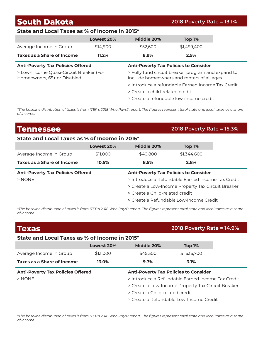## **South Dakota 2018 Poverty Rate = 13.1%**

### **State and Local Taxes as % of Income in 2015\***

|                            | Lowest 20% | Middle 20% | Top 1%      |
|----------------------------|------------|------------|-------------|
| Average Income in Group    | \$14,900   | \$52,600   | \$1,499,400 |
| Taxes as a Share of Income | $11.2\%$   | 8.9%       | 2.5%        |

> Low-Income Quasi-Circuit Breaker (For Homeowners, 65+ or Disabled)

#### **Anti-Poverty Tax Policies Offered Anti-Poverty Tax Policies to Consider**

> Fully fund circuit breaker program and expand to include homeowners and renters of all ages

- > Introduce a refundable Earned Income Tax Credit
- > Create a child-related credit
- > Create a refundable low-income credit

*\*The baseline distribution of taxes is from ITEP's 2018 Who Pays? report. The figures represent total state and local taxes as a share of income.*

## **Tennessee 2018 Poverty Rate = 15.3%**

#### **State and Local Taxes as % of Income in 2015\***

|                                          | Lowest 20%                                   | Middle 20%                                        | <b>Top 1%</b>                                      |
|------------------------------------------|----------------------------------------------|---------------------------------------------------|----------------------------------------------------|
| Average Income in Group                  | \$11,000                                     | \$40,800                                          | \$1,344,600                                        |
| Taxes as a Share of Income               | 10.5%                                        | 8.5%                                              | 2.8%                                               |
| <b>Anti-Poverty Tax Policies Offered</b> | <b>Anti-Poverty Tax Policies to Consider</b> |                                                   |                                                    |
| $>$ NONE                                 |                                              | > Introduce a Refundable Farned Income Tax Credit |                                                    |
|                                          |                                              |                                                   | > Create a Low-Income Property Tax Circuit Breaker |
|                                          |                                              | > Create a Child-related credit                   |                                                    |
|                                          |                                              |                                                   | > Create a Refundable Low-Income Credit            |

*\*The baseline distribution of taxes is from ITEP's 2018 Who Pays? report. The figures represent total state and local taxes as a share of income.*

| <b>Texas</b>                                  |                                                    |                                 | 2018 Poverty Rate = 14.9%                         |  |
|-----------------------------------------------|----------------------------------------------------|---------------------------------|---------------------------------------------------|--|
| State and Local Taxes as % of Income in 2015* |                                                    |                                 |                                                   |  |
|                                               | Lowest 20%                                         | Middle 20%                      | Top 1%                                            |  |
| Average Income in Group                       | \$13,000                                           | \$45,300                        | \$1,636,700                                       |  |
| Taxes as a Share of Income                    | 13.0%                                              | $9.7\%$                         | 3.1%                                              |  |
| <b>Anti-Poverty Tax Policies Offered</b>      |                                                    |                                 | <b>Anti-Poverty Tax Policies to Consider</b>      |  |
| $>$ NONE                                      |                                                    |                                 | > Introduce a Refundable Earned Income Tax Credit |  |
|                                               | > Create a Low-Income Property Tax Circuit Breaker |                                 |                                                   |  |
|                                               |                                                    | > Create a Child-related credit |                                                   |  |
|                                               |                                                    |                                 | > Create a Refundable Low-Income Credit           |  |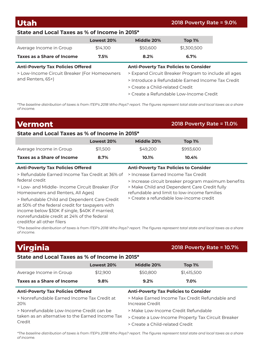#### **Utah 2018 Poverty Rate = 9.0%**

### **State and Local Taxes as % of Income in 2015\***

|                                              | Lowest 20% | Middle 20%                                   | Top 1%                                               |  |
|----------------------------------------------|------------|----------------------------------------------|------------------------------------------------------|--|
| Average Income in Group                      | \$14,100   | \$50,600                                     | \$1,300,500                                          |  |
| <b>Taxes as a Share of Income</b>            | 7.5%       | 8.2%                                         | 6.7%                                                 |  |
| <b>Anti-Poverty Tax Policies Offered</b>     |            | <b>Anti-Poverty Tax Policies to Consider</b> |                                                      |  |
| > Low-Income Circuit Breaker (For Homeowners |            |                                              | > Expand Circuit Breaker Program to include all ages |  |
| and Renters, 65+)                            |            |                                              | > Introduce a Refundable Earned Income Tax Credit    |  |
|                                              |            | > Create a Child-related Credit              |                                                      |  |

> Create a Refundable Low-Income Credit

*\*The baseline distribution of taxes is from ITEP's 2018 Who Pays? report. The figures represent total state and local taxes as a share of income.*

## **Vermont 2018 Poverty Rate = 11.0%**

#### **State and Local Taxes as % of Income in 2015\***

|                                                                                                                     | Lowest 20% | Middle 20%                                                                                                                                                                                | Top 1%    |  |                                              |  |  |                                         |  |
|---------------------------------------------------------------------------------------------------------------------|------------|-------------------------------------------------------------------------------------------------------------------------------------------------------------------------------------------|-----------|--|----------------------------------------------|--|--|-----------------------------------------|--|
| Average Income in Group                                                                                             | \$11,500   | \$49,200                                                                                                                                                                                  | \$993,600 |  |                                              |  |  |                                         |  |
| Taxes as a Share of Income                                                                                          | 8.7%       | 10.1%                                                                                                                                                                                     | 10.4%     |  |                                              |  |  |                                         |  |
| <b>Anti-Poverty Tax Policies Offered</b>                                                                            |            | <b>Anti-Poverty Tax Policies to Consider</b>                                                                                                                                              |           |  |                                              |  |  |                                         |  |
| > Refundable Earned Income Tax Credit at 36% of<br>federal credit<br>> Low- and Middle- Income Circuit Breaker (For |            | > Increase Earned Income Tax Credit<br>> Increase circuit breaker program maximum benefits<br>> Make Child and Dependent Care Credit fully<br>refundable and limit to low-income families |           |  |                                              |  |  |                                         |  |
|                                                                                                                     |            |                                                                                                                                                                                           |           |  | Homeowners and Renters, All Ages)            |  |  |                                         |  |
|                                                                                                                     |            |                                                                                                                                                                                           |           |  | > Refundable Child and Dependent Care Credit |  |  | > Create a refundable low-income credit |  |
| at 50% of the federal credit for taxpayers with                                                                     |            |                                                                                                                                                                                           |           |  |                                              |  |  |                                         |  |
| income below \$30K if single, \$40K if married;                                                                     |            |                                                                                                                                                                                           |           |  |                                              |  |  |                                         |  |
| nonrefundable credit at 24% of the federal                                                                          |            |                                                                                                                                                                                           |           |  |                                              |  |  |                                         |  |

*\*The baseline distribution of taxes is from ITEP's 2018 Who Pays? report. The figures represent total state and local taxes as a share of income.*

## **Virginia 2018 Poverty Rate = 10.7%**

creditfor all other filers

### **State and Local Taxes as % of Income in 2015\***

|                                             | Lowest 20% | Middle 20%                                     | Top 1%      |  |
|---------------------------------------------|------------|------------------------------------------------|-------------|--|
| Average Income in Group                     | \$12,900   | \$50,800                                       | \$1,415,500 |  |
| <b>Taxes as a Share of Income</b>           | 9.8%       | $9.2\%$                                        | 7.0%        |  |
| <b>Anti-Poverty Tax Policies Offered</b>    |            | <b>Anti-Poverty Tax Policies to Consider</b>   |             |  |
| > Nonrefundable Earned Income Tax Credit at |            | > Make Earned Income Tax Credit Refundable and |             |  |

> Nonrefundable Earned Income Tax Credit at 20%

> Nonrefundable Low-Income Credit can be taken as an alternative to the Earned Income Tax Credit

Increase Credit > Make Low-Income Credit Refundable

- > Create a Low-Income Property Tax Circuit Breaker
- > Create a Child-related Credit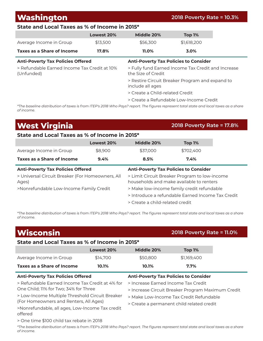## **Washington 2018 Poverty Rate = 10.3%**

### **State and Local Taxes as % of Income in 2015\***

|                                                                                                                                          | Lowest 20% | Middle 20%                                                               | Top 1%                          |  |  |
|------------------------------------------------------------------------------------------------------------------------------------------|------------|--------------------------------------------------------------------------|---------------------------------|--|--|
| Average Income in Group                                                                                                                  | \$13,500   | \$56,300                                                                 | \$1,618,200                     |  |  |
| Taxes as a Share of Income                                                                                                               | 17.8%      | 11.0%                                                                    | 3.0%                            |  |  |
| <b>Anti-Poverty Tax Policies Offered</b><br><b>Anti-Poverty Tax Policies to Consider</b>                                                 |            |                                                                          |                                 |  |  |
| > Refundable Earned Income Tax Credit at 10%<br>(Unfunded)                                                                               |            | > Fully fund Earned Income Tax Credit and Increase<br>the Size of Credit |                                 |  |  |
|                                                                                                                                          |            | > Restire Circuit Breaker Program and expand to<br>include all ages      |                                 |  |  |
|                                                                                                                                          |            |                                                                          | > Create a Child-related Credit |  |  |
|                                                                                                                                          |            | > Create a Refundable Low-Income Credit                                  |                                 |  |  |
| $*$ The baseline distribution of tower is from ITEDIs 2010 Who Dave2 report The figures represent total state and local tower as a share |            |                                                                          |                                 |  |  |

*\*The baseline distribution of taxes is from ITEP's 2018 Who Pays? report. The figures represent total state and local taxes as a share of income.*

## **West Virginia 2018 Poverty Rate = 17.8%**

#### **State and Local Taxes as % of Income in 2015\***

|                                                           | Lowest 20% | Middle 20%                                                                                | Top 1%    |
|-----------------------------------------------------------|------------|-------------------------------------------------------------------------------------------|-----------|
| Average Income in Group                                   | \$8,900    | \$37,000                                                                                  | \$702,400 |
| Taxes as a Share of Income                                | 9.4%       | 8.5%                                                                                      | $7.4\%$   |
| <b>Anti-Poverty Tax Policies Offered</b>                  |            | <b>Anti-Poverty Tax Policies to Consider</b>                                              |           |
| > Universal Circuit Breaker (For Homeowners, All<br>Ages) |            | > Limit Circuit Breaker Program to low-income<br>households and make available to renters |           |
| >Nonrefundable Low-Income Family Credit                   |            | > Make low-income family credit refundable                                                |           |
|                                                           |            | > Introduce a refundable Farned Income Tax Credit                                         |           |
|                                                           |            | > Create a child-related credit                                                           |           |

*\*The baseline distribution of taxes is from ITEP's 2018 Who Pays? report. The figures represent total state and local taxes as a share of income.*

| <b>Wisconsin</b>                                                                         |            |                                                   | 2018 Poverty Rate = 11.0% |  |  |
|------------------------------------------------------------------------------------------|------------|---------------------------------------------------|---------------------------|--|--|
| State and Local Taxes as % of Income in 2015*                                            |            |                                                   |                           |  |  |
|                                                                                          | Lowest 20% | Middle 20%                                        | Top 1%                    |  |  |
| Average Income in Group                                                                  | \$14,700   | \$50,800                                          | \$1,169,400               |  |  |
| Taxes as a Share of Income                                                               | 10.1%      | 10.1%                                             | 7.7%                      |  |  |
| <b>Anti-Poverty Tax Policies Offered</b><br><b>Anti-Poverty Tax Policies to Consider</b> |            |                                                   |                           |  |  |
| > Refundable Earned Income Tax Credit at 4% for                                          |            | > Increase Earned Income Tax Credit               |                           |  |  |
| One Child; 11% for Two; 34% for Three                                                    |            | > Increase Circuit Breaker Program Maximum Credit |                           |  |  |
| > Low-Income Multiple Threshold Circuit Breaker                                          |            | > Make Low-Income Tax Credit Refundable           |                           |  |  |
| (For Homeowners and Renters, All Ages)                                                   |            | > Create a permanent child related credit         |                           |  |  |
| >Nonrefundable, all ages, Low-Income Tax credit<br>offered                               |            |                                                   |                           |  |  |
| > One time \$100 child tax rebate in 2018                                                |            |                                                   |                           |  |  |